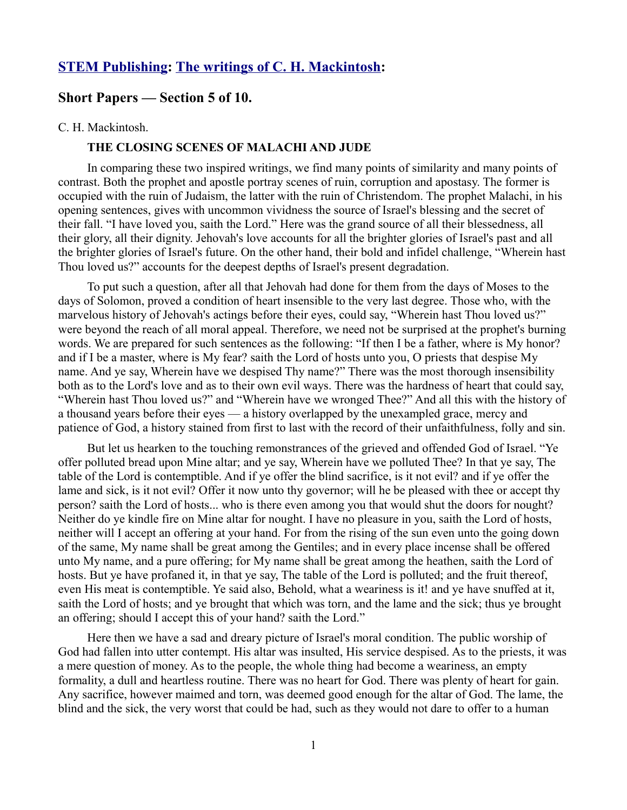# **[STEM Publishing:](http://www.stempublishing.com/) [The writings of C. H. Mackintosh:](http://www.stempublishing.com/authors/mackintosh/index.html)**

## **Short Papers — Section 5 of 10.**

#### C. H. Mackintosh.

## **THE CLOSING SCENES OF MALACHI AND JUDE**

In comparing these two inspired writings, we find many points of similarity and many points of contrast. Both the prophet and apostle portray scenes of ruin, corruption and apostasy. The former is occupied with the ruin of Judaism, the latter with the ruin of Christendom. The prophet Malachi, in his opening sentences, gives with uncommon vividness the source of Israel's blessing and the secret of their fall. "I have loved you, saith the Lord." Here was the grand source of all their blessedness, all their glory, all their dignity. Jehovah's love accounts for all the brighter glories of Israel's past and all the brighter glories of Israel's future. On the other hand, their bold and infidel challenge, "Wherein hast Thou loved us?" accounts for the deepest depths of Israel's present degradation.

To put such a question, after all that Jehovah had done for them from the days of Moses to the days of Solomon, proved a condition of heart insensible to the very last degree. Those who, with the marvelous history of Jehovah's actings before their eyes, could say, "Wherein hast Thou loved us?" were beyond the reach of all moral appeal. Therefore, we need not be surprised at the prophet's burning words. We are prepared for such sentences as the following: "If then I be a father, where is My honor? and if I be a master, where is My fear? saith the Lord of hosts unto you, O priests that despise My name. And ye say, Wherein have we despised Thy name?" There was the most thorough insensibility both as to the Lord's love and as to their own evil ways. There was the hardness of heart that could say, "Wherein hast Thou loved us?" and "Wherein have we wronged Thee?" And all this with the history of a thousand years before their eyes — a history overlapped by the unexampled grace, mercy and patience of God, a history stained from first to last with the record of their unfaithfulness, folly and sin.

But let us hearken to the touching remonstrances of the grieved and offended God of Israel. "Ye offer polluted bread upon Mine altar; and ye say, Wherein have we polluted Thee? In that ye say, The table of the Lord is contemptible. And if ye offer the blind sacrifice, is it not evil? and if ye offer the lame and sick, is it not evil? Offer it now unto thy governor; will he be pleased with thee or accept thy person? saith the Lord of hosts... who is there even among you that would shut the doors for nought? Neither do ye kindle fire on Mine altar for nought. I have no pleasure in you, saith the Lord of hosts, neither will I accept an offering at your hand. For from the rising of the sun even unto the going down of the same, My name shall be great among the Gentiles; and in every place incense shall be offered unto My name, and a pure offering; for My name shall be great among the heathen, saith the Lord of hosts. But ye have profaned it, in that ye say, The table of the Lord is polluted; and the fruit thereof, even His meat is contemptible. Ye said also, Behold, what a weariness is it! and ye have snuffed at it, saith the Lord of hosts; and ye brought that which was torn, and the lame and the sick; thus ye brought an offering; should I accept this of your hand? saith the Lord."

Here then we have a sad and dreary picture of Israel's moral condition. The public worship of God had fallen into utter contempt. His altar was insulted, His service despised. As to the priests, it was a mere question of money. As to the people, the whole thing had become a weariness, an empty formality, a dull and heartless routine. There was no heart for God. There was plenty of heart for gain. Any sacrifice, however maimed and torn, was deemed good enough for the altar of God. The lame, the blind and the sick, the very worst that could be had, such as they would not dare to offer to a human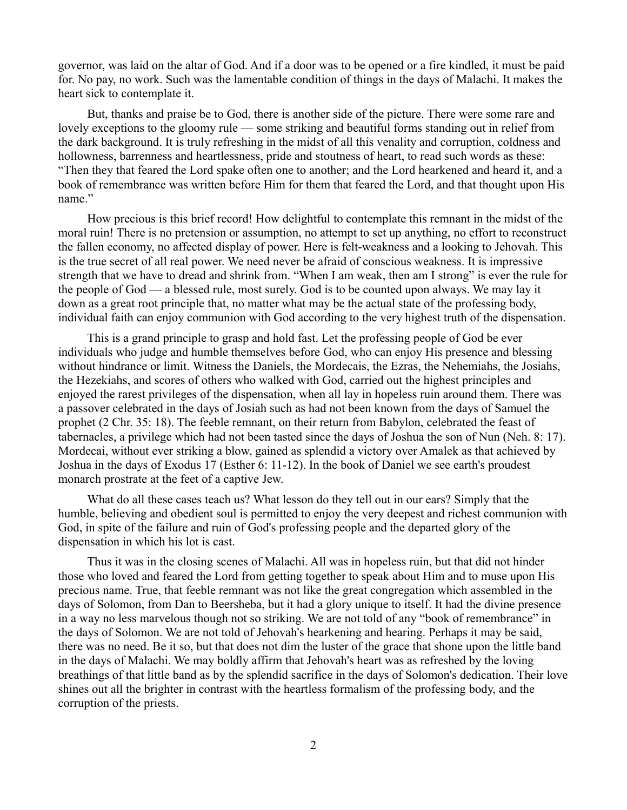governor, was laid on the altar of God. And if a door was to be opened or a fire kindled, it must be paid for. No pay, no work. Such was the lamentable condition of things in the days of Malachi. It makes the heart sick to contemplate it.

But, thanks and praise be to God, there is another side of the picture. There were some rare and lovely exceptions to the gloomy rule — some striking and beautiful forms standing out in relief from the dark background. It is truly refreshing in the midst of all this venality and corruption, coldness and hollowness, barrenness and heartlessness, pride and stoutness of heart, to read such words as these: "Then they that feared the Lord spake often one to another; and the Lord hearkened and heard it, and a book of remembrance was written before Him for them that feared the Lord, and that thought upon His name."

How precious is this brief record! How delightful to contemplate this remnant in the midst of the moral ruin! There is no pretension or assumption, no attempt to set up anything, no effort to reconstruct the fallen economy, no affected display of power. Here is felt-weakness and a looking to Jehovah. This is the true secret of all real power. We need never be afraid of conscious weakness. It is impressive strength that we have to dread and shrink from. "When I am weak, then am I strong" is ever the rule for the people of God — a blessed rule, most surely. God is to be counted upon always. We may lay it down as a great root principle that, no matter what may be the actual state of the professing body, individual faith can enjoy communion with God according to the very highest truth of the dispensation.

This is a grand principle to grasp and hold fast. Let the professing people of God be ever individuals who judge and humble themselves before God, who can enjoy His presence and blessing without hindrance or limit. Witness the Daniels, the Mordecais, the Ezras, the Nehemiahs, the Josiahs, the Hezekiahs, and scores of others who walked with God, carried out the highest principles and enjoyed the rarest privileges of the dispensation, when all lay in hopeless ruin around them. There was a passover celebrated in the days of Josiah such as had not been known from the days of Samuel the prophet (2 Chr. 35: 18). The feeble remnant, on their return from Babylon, celebrated the feast of tabernacles, a privilege which had not been tasted since the days of Joshua the son of Nun (Neh. 8: 17). Mordecai, without ever striking a blow, gained as splendid a victory over Amalek as that achieved by Joshua in the days of Exodus 17 (Esther 6: 11-12). In the book of Daniel we see earth's proudest monarch prostrate at the feet of a captive Jew.

What do all these cases teach us? What lesson do they tell out in our ears? Simply that the humble, believing and obedient soul is permitted to enjoy the very deepest and richest communion with God, in spite of the failure and ruin of God's professing people and the departed glory of the dispensation in which his lot is cast.

Thus it was in the closing scenes of Malachi. All was in hopeless ruin, but that did not hinder those who loved and feared the Lord from getting together to speak about Him and to muse upon His precious name. True, that feeble remnant was not like the great congregation which assembled in the days of Solomon, from Dan to Beersheba, but it had a glory unique to itself. It had the divine presence in a way no less marvelous though not so striking. We are not told of any "book of remembrance" in the days of Solomon. We are not told of Jehovah's hearkening and hearing. Perhaps it may be said, there was no need. Be it so, but that does not dim the luster of the grace that shone upon the little band in the days of Malachi. We may boldly affirm that Jehovah's heart was as refreshed by the loving breathings of that little band as by the splendid sacrifice in the days of Solomon's dedication. Their love shines out all the brighter in contrast with the heartless formalism of the professing body, and the corruption of the priests.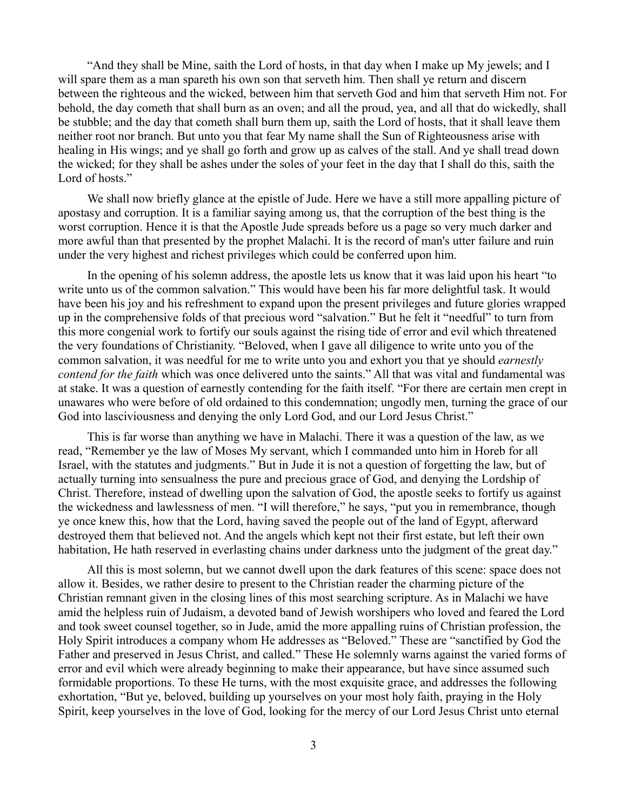"And they shall be Mine, saith the Lord of hosts, in that day when I make up My jewels; and I will spare them as a man spareth his own son that serveth him. Then shall ye return and discern between the righteous and the wicked, between him that serveth God and him that serveth Him not. For behold, the day cometh that shall burn as an oven; and all the proud, yea, and all that do wickedly, shall be stubble; and the day that cometh shall burn them up, saith the Lord of hosts, that it shall leave them neither root nor branch. But unto you that fear My name shall the Sun of Righteousness arise with healing in His wings; and ye shall go forth and grow up as calves of the stall. And ye shall tread down the wicked; for they shall be ashes under the soles of your feet in the day that I shall do this, saith the Lord of hosts."

We shall now briefly glance at the epistle of Jude. Here we have a still more appalling picture of apostasy and corruption. It is a familiar saying among us, that the corruption of the best thing is the worst corruption. Hence it is that the Apostle Jude spreads before us a page so very much darker and more awful than that presented by the prophet Malachi. It is the record of man's utter failure and ruin under the very highest and richest privileges which could be conferred upon him.

In the opening of his solemn address, the apostle lets us know that it was laid upon his heart "to write unto us of the common salvation." This would have been his far more delightful task. It would have been his joy and his refreshment to expand upon the present privileges and future glories wrapped up in the comprehensive folds of that precious word "salvation." But he felt it "needful" to turn from this more congenial work to fortify our souls against the rising tide of error and evil which threatened the very foundations of Christianity. "Beloved, when I gave all diligence to write unto you of the common salvation, it was needful for me to write unto you and exhort you that ye should *earnestly contend for the faith* which was once delivered unto the saints." All that was vital and fundamental was at stake. It was a question of earnestly contending for the faith itself. "For there are certain men crept in unawares who were before of old ordained to this condemnation; ungodly men, turning the grace of our God into lasciviousness and denying the only Lord God, and our Lord Jesus Christ."

This is far worse than anything we have in Malachi. There it was a question of the law, as we read, "Remember ye the law of Moses My servant, which I commanded unto him in Horeb for all Israel, with the statutes and judgments." But in Jude it is not a question of forgetting the law, but of actually turning into sensualness the pure and precious grace of God, and denying the Lordship of Christ. Therefore, instead of dwelling upon the salvation of God, the apostle seeks to fortify us against the wickedness and lawlessness of men. "I will therefore," he says, "put you in remembrance, though ye once knew this, how that the Lord, having saved the people out of the land of Egypt, afterward destroyed them that believed not. And the angels which kept not their first estate, but left their own habitation, He hath reserved in everlasting chains under darkness unto the judgment of the great day."

All this is most solemn, but we cannot dwell upon the dark features of this scene: space does not allow it. Besides, we rather desire to present to the Christian reader the charming picture of the Christian remnant given in the closing lines of this most searching scripture. As in Malachi we have amid the helpless ruin of Judaism, a devoted band of Jewish worshipers who loved and feared the Lord and took sweet counsel together, so in Jude, amid the more appalling ruins of Christian profession, the Holy Spirit introduces a company whom He addresses as "Beloved." These are "sanctified by God the Father and preserved in Jesus Christ, and called." These He solemnly warns against the varied forms of error and evil which were already beginning to make their appearance, but have since assumed such formidable proportions. To these He turns, with the most exquisite grace, and addresses the following exhortation, "But ye, beloved, building up yourselves on your most holy faith, praying in the Holy Spirit, keep yourselves in the love of God, looking for the mercy of our Lord Jesus Christ unto eternal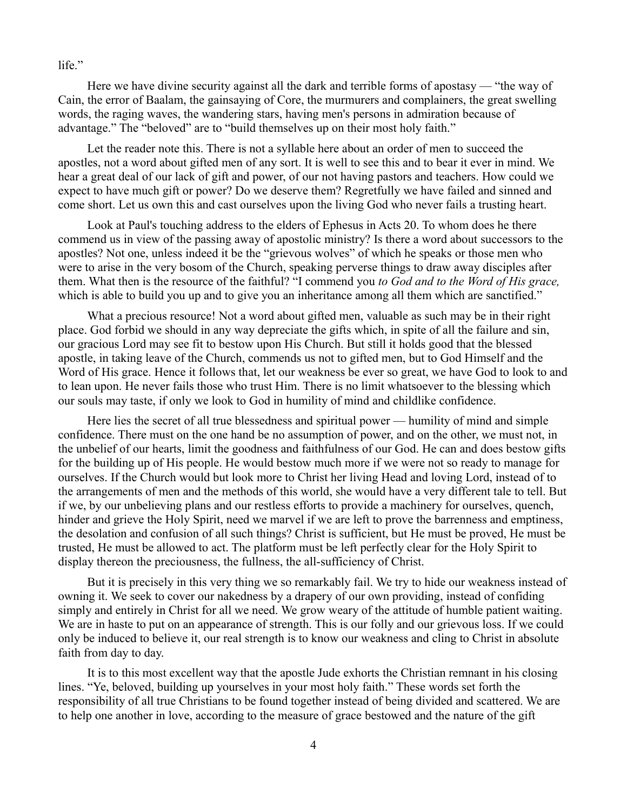life."

Here we have divine security against all the dark and terrible forms of apostasy — "the way of Cain, the error of Baalam, the gainsaying of Core, the murmurers and complainers, the great swelling words, the raging waves, the wandering stars, having men's persons in admiration because of advantage." The "beloved" are to "build themselves up on their most holy faith."

Let the reader note this. There is not a syllable here about an order of men to succeed the apostles, not a word about gifted men of any sort. It is well to see this and to bear it ever in mind. We hear a great deal of our lack of gift and power, of our not having pastors and teachers. How could we expect to have much gift or power? Do we deserve them? Regretfully we have failed and sinned and come short. Let us own this and cast ourselves upon the living God who never fails a trusting heart.

Look at Paul's touching address to the elders of Ephesus in Acts 20. To whom does he there commend us in view of the passing away of apostolic ministry? Is there a word about successors to the apostles? Not one, unless indeed it be the "grievous wolves" of which he speaks or those men who were to arise in the very bosom of the Church, speaking perverse things to draw away disciples after them. What then is the resource of the faithful? "I commend you *to God and to the Word of His grace,* which is able to build you up and to give you an inheritance among all them which are sanctified."

What a precious resource! Not a word about gifted men, valuable as such may be in their right place. God forbid we should in any way depreciate the gifts which, in spite of all the failure and sin, our gracious Lord may see fit to bestow upon His Church. But still it holds good that the blessed apostle, in taking leave of the Church, commends us not to gifted men, but to God Himself and the Word of His grace. Hence it follows that, let our weakness be ever so great, we have God to look to and to lean upon. He never fails those who trust Him. There is no limit whatsoever to the blessing which our souls may taste, if only we look to God in humility of mind and childlike confidence.

Here lies the secret of all true blessedness and spiritual power — humility of mind and simple confidence. There must on the one hand be no assumption of power, and on the other, we must not, in the unbelief of our hearts, limit the goodness and faithfulness of our God. He can and does bestow gifts for the building up of His people. He would bestow much more if we were not so ready to manage for ourselves. If the Church would but look more to Christ her living Head and loving Lord, instead of to the arrangements of men and the methods of this world, she would have a very different tale to tell. But if we, by our unbelieving plans and our restless efforts to provide a machinery for ourselves, quench, hinder and grieve the Holy Spirit, need we marvel if we are left to prove the barrenness and emptiness, the desolation and confusion of all such things? Christ is sufficient, but He must be proved, He must be trusted, He must be allowed to act. The platform must be left perfectly clear for the Holy Spirit to display thereon the preciousness, the fullness, the all-sufficiency of Christ.

But it is precisely in this very thing we so remarkably fail. We try to hide our weakness instead of owning it. We seek to cover our nakedness by a drapery of our own providing, instead of confiding simply and entirely in Christ for all we need. We grow weary of the attitude of humble patient waiting. We are in haste to put on an appearance of strength. This is our folly and our grievous loss. If we could only be induced to believe it, our real strength is to know our weakness and cling to Christ in absolute faith from day to day.

It is to this most excellent way that the apostle Jude exhorts the Christian remnant in his closing lines. "Ye, beloved, building up yourselves in your most holy faith." These words set forth the responsibility of all true Christians to be found together instead of being divided and scattered. We are to help one another in love, according to the measure of grace bestowed and the nature of the gift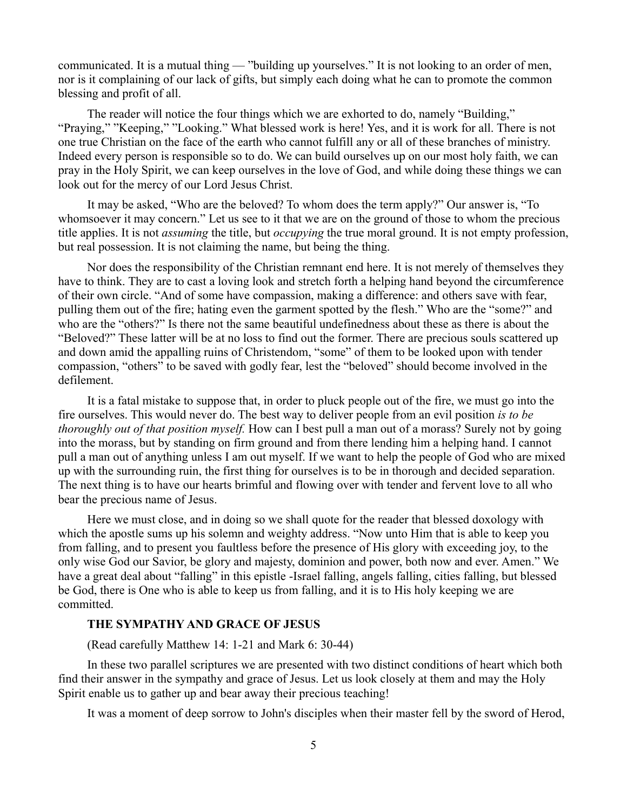communicated. It is a mutual thing — "building up yourselves." It is not looking to an order of men, nor is it complaining of our lack of gifts, but simply each doing what he can to promote the common blessing and profit of all.

The reader will notice the four things which we are exhorted to do, namely "Building," "Praying," "Keeping," "Looking." What blessed work is here! Yes, and it is work for all. There is not one true Christian on the face of the earth who cannot fulfill any or all of these branches of ministry. Indeed every person is responsible so to do. We can build ourselves up on our most holy faith, we can pray in the Holy Spirit, we can keep ourselves in the love of God, and while doing these things we can look out for the mercy of our Lord Jesus Christ.

It may be asked, "Who are the beloved? To whom does the term apply?" Our answer is, "To whomsoever it may concern." Let us see to it that we are on the ground of those to whom the precious title applies. It is not *assuming* the title, but *occupying* the true moral ground. It is not empty profession, but real possession. It is not claiming the name, but being the thing.

Nor does the responsibility of the Christian remnant end here. It is not merely of themselves they have to think. They are to cast a loving look and stretch forth a helping hand beyond the circumference of their own circle. "And of some have compassion, making a difference: and others save with fear, pulling them out of the fire; hating even the garment spotted by the flesh." Who are the "some?" and who are the "others?" Is there not the same beautiful undefinedness about these as there is about the "Beloved?" These latter will be at no loss to find out the former. There are precious souls scattered up and down amid the appalling ruins of Christendom, "some" of them to be looked upon with tender compassion, "others" to be saved with godly fear, lest the "beloved" should become involved in the defilement.

It is a fatal mistake to suppose that, in order to pluck people out of the fire, we must go into the fire ourselves. This would never do. The best way to deliver people from an evil position *is to be thoroughly out of that position myself.* How can I best pull a man out of a morass? Surely not by going into the morass, but by standing on firm ground and from there lending him a helping hand. I cannot pull a man out of anything unless I am out myself. If we want to help the people of God who are mixed up with the surrounding ruin, the first thing for ourselves is to be in thorough and decided separation. The next thing is to have our hearts brimful and flowing over with tender and fervent love to all who bear the precious name of Jesus.

Here we must close, and in doing so we shall quote for the reader that blessed doxology with which the apostle sums up his solemn and weighty address. "Now unto Him that is able to keep you from falling, and to present you faultless before the presence of His glory with exceeding joy, to the only wise God our Savior, be glory and majesty, dominion and power, both now and ever. Amen." We have a great deal about "falling" in this epistle -Israel falling, angels falling, cities falling, but blessed be God, there is One who is able to keep us from falling, and it is to His holy keeping we are committed.

## **THE SYMPATHY AND GRACE OF JESUS**

(Read carefully Matthew 14: 1-21 and Mark 6: 30-44)

In these two parallel scriptures we are presented with two distinct conditions of heart which both find their answer in the sympathy and grace of Jesus. Let us look closely at them and may the Holy Spirit enable us to gather up and bear away their precious teaching!

It was a moment of deep sorrow to John's disciples when their master fell by the sword of Herod,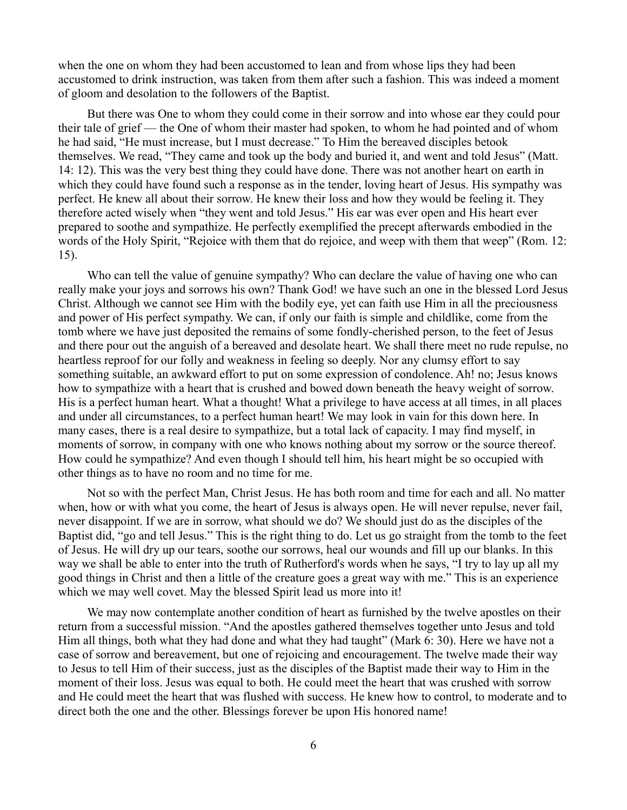when the one on whom they had been accustomed to lean and from whose lips they had been accustomed to drink instruction, was taken from them after such a fashion. This was indeed a moment of gloom and desolation to the followers of the Baptist.

But there was One to whom they could come in their sorrow and into whose ear they could pour their tale of grief — the One of whom their master had spoken, to whom he had pointed and of whom he had said, "He must increase, but I must decrease." To Him the bereaved disciples betook themselves. We read, "They came and took up the body and buried it, and went and told Jesus" (Matt. 14: 12). This was the very best thing they could have done. There was not another heart on earth in which they could have found such a response as in the tender, loving heart of Jesus. His sympathy was perfect. He knew all about their sorrow. He knew their loss and how they would be feeling it. They therefore acted wisely when "they went and told Jesus." His ear was ever open and His heart ever prepared to soothe and sympathize. He perfectly exemplified the precept afterwards embodied in the words of the Holy Spirit, "Rejoice with them that do rejoice, and weep with them that weep" (Rom. 12: 15).

Who can tell the value of genuine sympathy? Who can declare the value of having one who can really make your joys and sorrows his own? Thank God! we have such an one in the blessed Lord Jesus Christ. Although we cannot see Him with the bodily eye, yet can faith use Him in all the preciousness and power of His perfect sympathy. We can, if only our faith is simple and childlike, come from the tomb where we have just deposited the remains of some fondly-cherished person, to the feet of Jesus and there pour out the anguish of a bereaved and desolate heart. We shall there meet no rude repulse, no heartless reproof for our folly and weakness in feeling so deeply. Nor any clumsy effort to say something suitable, an awkward effort to put on some expression of condolence. Ah! no; Jesus knows how to sympathize with a heart that is crushed and bowed down beneath the heavy weight of sorrow. His is a perfect human heart. What a thought! What a privilege to have access at all times, in all places and under all circumstances, to a perfect human heart! We may look in vain for this down here. In many cases, there is a real desire to sympathize, but a total lack of capacity. I may find myself, in moments of sorrow, in company with one who knows nothing about my sorrow or the source thereof. How could he sympathize? And even though I should tell him, his heart might be so occupied with other things as to have no room and no time for me.

Not so with the perfect Man, Christ Jesus. He has both room and time for each and all. No matter when, how or with what you come, the heart of Jesus is always open. He will never repulse, never fail, never disappoint. If we are in sorrow, what should we do? We should just do as the disciples of the Baptist did, "go and tell Jesus." This is the right thing to do. Let us go straight from the tomb to the feet of Jesus. He will dry up our tears, soothe our sorrows, heal our wounds and fill up our blanks. In this way we shall be able to enter into the truth of Rutherford's words when he says, "I try to lay up all my good things in Christ and then a little of the creature goes a great way with me." This is an experience which we may well covet. May the blessed Spirit lead us more into it!

We may now contemplate another condition of heart as furnished by the twelve apostles on their return from a successful mission. "And the apostles gathered themselves together unto Jesus and told Him all things, both what they had done and what they had taught" (Mark 6: 30). Here we have not a case of sorrow and bereavement, but one of rejoicing and encouragement. The twelve made their way to Jesus to tell Him of their success, just as the disciples of the Baptist made their way to Him in the moment of their loss. Jesus was equal to both. He could meet the heart that was crushed with sorrow and He could meet the heart that was flushed with success. He knew how to control, to moderate and to direct both the one and the other. Blessings forever be upon His honored name!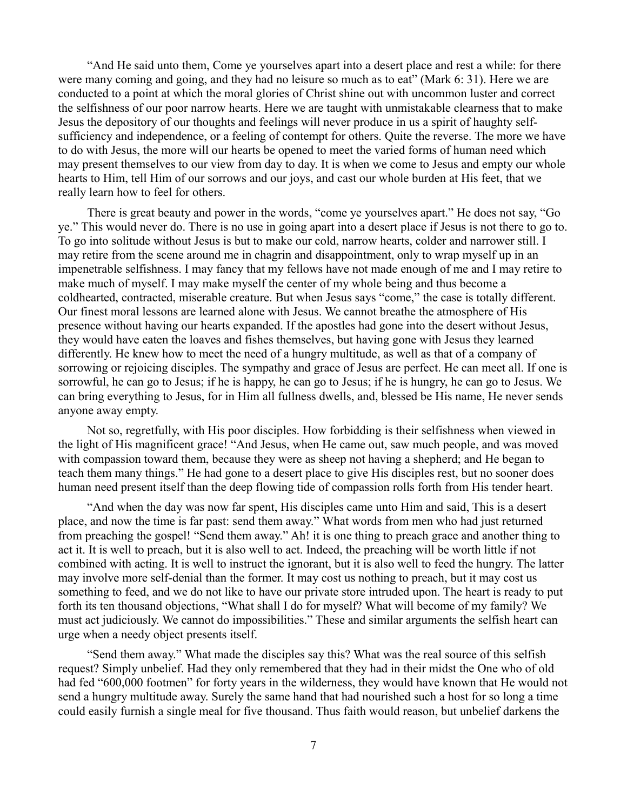"And He said unto them, Come ye yourselves apart into a desert place and rest a while: for there were many coming and going, and they had no leisure so much as to eat" (Mark 6: 31). Here we are conducted to a point at which the moral glories of Christ shine out with uncommon luster and correct the selfishness of our poor narrow hearts. Here we are taught with unmistakable clearness that to make Jesus the depository of our thoughts and feelings will never produce in us a spirit of haughty selfsufficiency and independence, or a feeling of contempt for others. Quite the reverse. The more we have to do with Jesus, the more will our hearts be opened to meet the varied forms of human need which may present themselves to our view from day to day. It is when we come to Jesus and empty our whole hearts to Him, tell Him of our sorrows and our joys, and cast our whole burden at His feet, that we really learn how to feel for others.

There is great beauty and power in the words, "come ye yourselves apart." He does not say, "Go ye." This would never do. There is no use in going apart into a desert place if Jesus is not there to go to. To go into solitude without Jesus is but to make our cold, narrow hearts, colder and narrower still. I may retire from the scene around me in chagrin and disappointment, only to wrap myself up in an impenetrable selfishness. I may fancy that my fellows have not made enough of me and I may retire to make much of myself. I may make myself the center of my whole being and thus become a coldhearted, contracted, miserable creature. But when Jesus says "come," the case is totally different. Our finest moral lessons are learned alone with Jesus. We cannot breathe the atmosphere of His presence without having our hearts expanded. If the apostles had gone into the desert without Jesus, they would have eaten the loaves and fishes themselves, but having gone with Jesus they learned differently. He knew how to meet the need of a hungry multitude, as well as that of a company of sorrowing or rejoicing disciples. The sympathy and grace of Jesus are perfect. He can meet all. If one is sorrowful, he can go to Jesus; if he is happy, he can go to Jesus; if he is hungry, he can go to Jesus. We can bring everything to Jesus, for in Him all fullness dwells, and, blessed be His name, He never sends anyone away empty.

Not so, regretfully, with His poor disciples. How forbidding is their selfishness when viewed in the light of His magnificent grace! "And Jesus, when He came out, saw much people, and was moved with compassion toward them, because they were as sheep not having a shepherd; and He began to teach them many things." He had gone to a desert place to give His disciples rest, but no sooner does human need present itself than the deep flowing tide of compassion rolls forth from His tender heart.

"And when the day was now far spent, His disciples came unto Him and said, This is a desert place, and now the time is far past: send them away." What words from men who had just returned from preaching the gospel! "Send them away." Ah! it is one thing to preach grace and another thing to act it. It is well to preach, but it is also well to act. Indeed, the preaching will be worth little if not combined with acting. It is well to instruct the ignorant, but it is also well to feed the hungry. The latter may involve more self-denial than the former. It may cost us nothing to preach, but it may cost us something to feed, and we do not like to have our private store intruded upon. The heart is ready to put forth its ten thousand objections, "What shall I do for myself? What will become of my family? We must act judiciously. We cannot do impossibilities." These and similar arguments the selfish heart can urge when a needy object presents itself.

"Send them away." What made the disciples say this? What was the real source of this selfish request? Simply unbelief. Had they only remembered that they had in their midst the One who of old had fed "600,000 footmen" for forty years in the wilderness, they would have known that He would not send a hungry multitude away. Surely the same hand that had nourished such a host for so long a time could easily furnish a single meal for five thousand. Thus faith would reason, but unbelief darkens the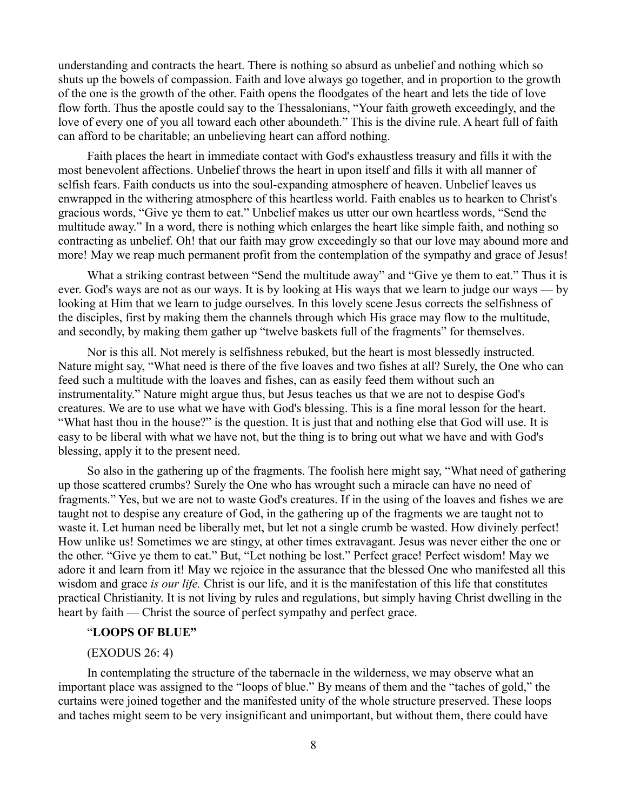understanding and contracts the heart. There is nothing so absurd as unbelief and nothing which so shuts up the bowels of compassion. Faith and love always go together, and in proportion to the growth of the one is the growth of the other. Faith opens the floodgates of the heart and lets the tide of love flow forth. Thus the apostle could say to the Thessalonians, "Your faith groweth exceedingly, and the love of every one of you all toward each other aboundeth." This is the divine rule. A heart full of faith can afford to be charitable; an unbelieving heart can afford nothing.

Faith places the heart in immediate contact with God's exhaustless treasury and fills it with the most benevolent affections. Unbelief throws the heart in upon itself and fills it with all manner of selfish fears. Faith conducts us into the soul-expanding atmosphere of heaven. Unbelief leaves us enwrapped in the withering atmosphere of this heartless world. Faith enables us to hearken to Christ's gracious words, "Give ye them to eat." Unbelief makes us utter our own heartless words, "Send the multitude away." In a word, there is nothing which enlarges the heart like simple faith, and nothing so contracting as unbelief. Oh! that our faith may grow exceedingly so that our love may abound more and more! May we reap much permanent profit from the contemplation of the sympathy and grace of Jesus!

What a striking contrast between "Send the multitude away" and "Give ye them to eat." Thus it is ever. God's ways are not as our ways. It is by looking at His ways that we learn to judge our ways — by looking at Him that we learn to judge ourselves. In this lovely scene Jesus corrects the selfishness of the disciples, first by making them the channels through which His grace may flow to the multitude, and secondly, by making them gather up "twelve baskets full of the fragments" for themselves.

Nor is this all. Not merely is selfishness rebuked, but the heart is most blessedly instructed. Nature might say, "What need is there of the five loaves and two fishes at all? Surely, the One who can feed such a multitude with the loaves and fishes, can as easily feed them without such an instrumentality." Nature might argue thus, but Jesus teaches us that we are not to despise God's creatures. We are to use what we have with God's blessing. This is a fine moral lesson for the heart. "What hast thou in the house?" is the question. It is just that and nothing else that God will use. It is easy to be liberal with what we have not, but the thing is to bring out what we have and with God's blessing, apply it to the present need.

So also in the gathering up of the fragments. The foolish here might say, "What need of gathering up those scattered crumbs? Surely the One who has wrought such a miracle can have no need of fragments." Yes, but we are not to waste God's creatures. If in the using of the loaves and fishes we are taught not to despise any creature of God, in the gathering up of the fragments we are taught not to waste it. Let human need be liberally met, but let not a single crumb be wasted. How divinely perfect! How unlike us! Sometimes we are stingy, at other times extravagant. Jesus was never either the one or the other. "Give ye them to eat." But, "Let nothing be lost." Perfect grace! Perfect wisdom! May we adore it and learn from it! May we rejoice in the assurance that the blessed One who manifested all this wisdom and grace *is our life.* Christ is our life, and it is the manifestation of this life that constitutes practical Christianity. It is not living by rules and regulations, but simply having Christ dwelling in the heart by faith — Christ the source of perfect sympathy and perfect grace.

## "**LOOPS OF BLUE"**

## (EXODUS 26: 4)

In contemplating the structure of the tabernacle in the wilderness, we may observe what an important place was assigned to the "loops of blue." By means of them and the "taches of gold," the curtains were joined together and the manifested unity of the whole structure preserved. These loops and taches might seem to be very insignificant and unimportant, but without them, there could have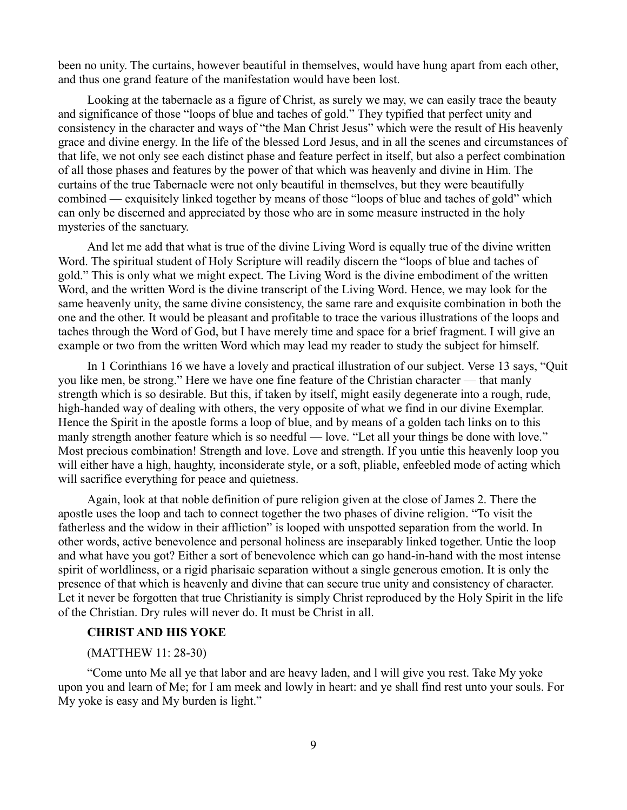been no unity. The curtains, however beautiful in themselves, would have hung apart from each other, and thus one grand feature of the manifestation would have been lost.

Looking at the tabernacle as a figure of Christ, as surely we may, we can easily trace the beauty and significance of those "loops of blue and taches of gold." They typified that perfect unity and consistency in the character and ways of "the Man Christ Jesus" which were the result of His heavenly grace and divine energy. In the life of the blessed Lord Jesus, and in all the scenes and circumstances of that life, we not only see each distinct phase and feature perfect in itself, but also a perfect combination of all those phases and features by the power of that which was heavenly and divine in Him. The curtains of the true Tabernacle were not only beautiful in themselves, but they were beautifully combined — exquisitely linked together by means of those "loops of blue and taches of gold" which can only be discerned and appreciated by those who are in some measure instructed in the holy mysteries of the sanctuary.

And let me add that what is true of the divine Living Word is equally true of the divine written Word. The spiritual student of Holy Scripture will readily discern the "loops of blue and taches of gold." This is only what we might expect. The Living Word is the divine embodiment of the written Word, and the written Word is the divine transcript of the Living Word. Hence, we may look for the same heavenly unity, the same divine consistency, the same rare and exquisite combination in both the one and the other. It would be pleasant and profitable to trace the various illustrations of the loops and taches through the Word of God, but I have merely time and space for a brief fragment. I will give an example or two from the written Word which may lead my reader to study the subject for himself.

In 1 Corinthians 16 we have a lovely and practical illustration of our subject. Verse 13 says, "Quit you like men, be strong." Here we have one fine feature of the Christian character — that manly strength which is so desirable. But this, if taken by itself, might easily degenerate into a rough, rude, high-handed way of dealing with others, the very opposite of what we find in our divine Exemplar. Hence the Spirit in the apostle forms a loop of blue, and by means of a golden tach links on to this manly strength another feature which is so needful — love. "Let all your things be done with love." Most precious combination! Strength and love. Love and strength. If you untie this heavenly loop you will either have a high, haughty, inconsiderate style, or a soft, pliable, enfeebled mode of acting which will sacrifice everything for peace and quietness.

Again, look at that noble definition of pure religion given at the close of James 2. There the apostle uses the loop and tach to connect together the two phases of divine religion. "To visit the fatherless and the widow in their affliction" is looped with unspotted separation from the world. In other words, active benevolence and personal holiness are inseparably linked together. Untie the loop and what have you got? Either a sort of benevolence which can go hand-in-hand with the most intense spirit of worldliness, or a rigid pharisaic separation without a single generous emotion. It is only the presence of that which is heavenly and divine that can secure true unity and consistency of character. Let it never be forgotten that true Christianity is simply Christ reproduced by the Holy Spirit in the life of the Christian. Dry rules will never do. It must be Christ in all.

#### **CHRIST AND HIS YOKE**

## (MATTHEW 11: 28-30)

"Come unto Me all ye that labor and are heavy laden, and l will give you rest. Take My yoke upon you and learn of Me; for I am meek and lowly in heart: and ye shall find rest unto your souls. For My yoke is easy and My burden is light."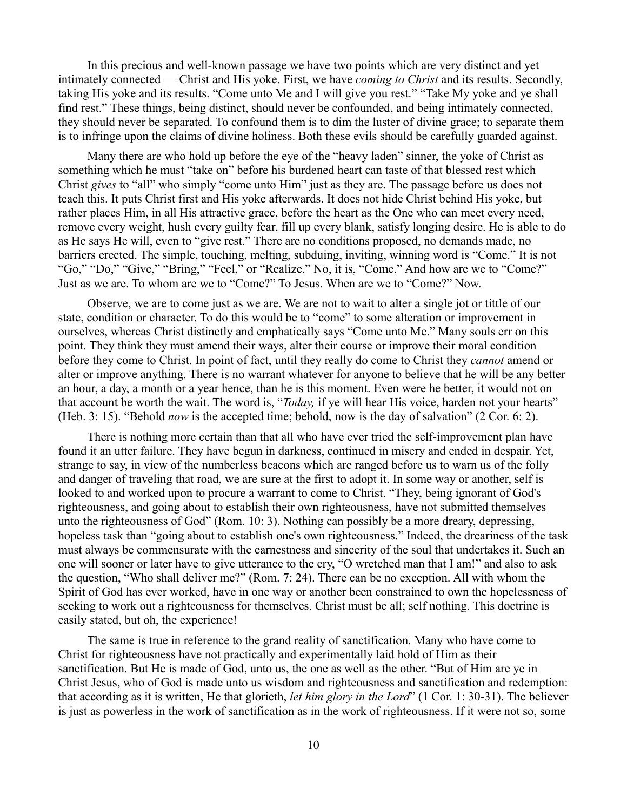In this precious and well-known passage we have two points which are very distinct and yet intimately connected — Christ and His yoke. First, we have *coming to Christ* and its results. Secondly, taking His yoke and its results. "Come unto Me and I will give you rest." "Take My yoke and ye shall find rest." These things, being distinct, should never be confounded, and being intimately connected, they should never be separated. To confound them is to dim the luster of divine grace; to separate them is to infringe upon the claims of divine holiness. Both these evils should be carefully guarded against.

Many there are who hold up before the eye of the "heavy laden" sinner, the yoke of Christ as something which he must "take on" before his burdened heart can taste of that blessed rest which Christ *gives* to "all" who simply "come unto Him" just as they are. The passage before us does not teach this. It puts Christ first and His yoke afterwards. It does not hide Christ behind His yoke, but rather places Him, in all His attractive grace, before the heart as the One who can meet every need, remove every weight, hush every guilty fear, fill up every blank, satisfy longing desire. He is able to do as He says He will, even to "give rest." There are no conditions proposed, no demands made, no barriers erected. The simple, touching, melting, subduing, inviting, winning word is "Come." It is not "Go," "Do," "Give," "Bring," "Feel," or "Realize." No, it is, "Come." And how are we to "Come?" Just as we are. To whom are we to "Come?" To Jesus. When are we to "Come?" Now.

Observe, we are to come just as we are. We are not to wait to alter a single jot or tittle of our state, condition or character. To do this would be to "come" to some alteration or improvement in ourselves, whereas Christ distinctly and emphatically says "Come unto Me." Many souls err on this point. They think they must amend their ways, alter their course or improve their moral condition before they come to Christ. In point of fact, until they really do come to Christ they *cannot* amend or alter or improve anything. There is no warrant whatever for anyone to believe that he will be any better an hour, a day, a month or a year hence, than he is this moment. Even were he better, it would not on that account be worth the wait. The word is, "*Today,* if ye will hear His voice, harden not your hearts" (Heb. 3: 15). "Behold *now* is the accepted time; behold, now is the day of salvation" (2 Cor. 6: 2).

There is nothing more certain than that all who have ever tried the self-improvement plan have found it an utter failure. They have begun in darkness, continued in misery and ended in despair. Yet, strange to say, in view of the numberless beacons which are ranged before us to warn us of the folly and danger of traveling that road, we are sure at the first to adopt it. In some way or another, self is looked to and worked upon to procure a warrant to come to Christ. "They, being ignorant of God's righteousness, and going about to establish their own righteousness, have not submitted themselves unto the righteousness of God" (Rom. 10: 3). Nothing can possibly be a more dreary, depressing, hopeless task than "going about to establish one's own righteousness." Indeed, the dreariness of the task must always be commensurate with the earnestness and sincerity of the soul that undertakes it. Such an one will sooner or later have to give utterance to the cry, "O wretched man that I am!" and also to ask the question, "Who shall deliver me?" (Rom. 7: 24). There can be no exception. All with whom the Spirit of God has ever worked, have in one way or another been constrained to own the hopelessness of seeking to work out a righteousness for themselves. Christ must be all; self nothing. This doctrine is easily stated, but oh, the experience!

The same is true in reference to the grand reality of sanctification. Many who have come to Christ for righteousness have not practically and experimentally laid hold of Him as their sanctification. But He is made of God, unto us, the one as well as the other. "But of Him are ye in Christ Jesus, who of God is made unto us wisdom and righteousness and sanctification and redemption: that according as it is written, He that glorieth, *let him glory in the Lord*" (1 Cor. 1: 30-31). The believer is just as powerless in the work of sanctification as in the work of righteousness. If it were not so, some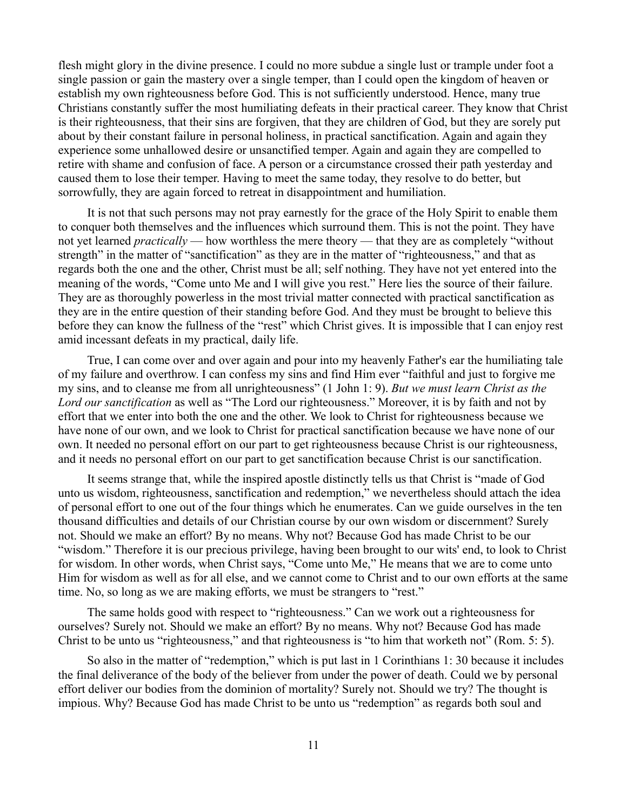flesh might glory in the divine presence. I could no more subdue a single lust or trample under foot a single passion or gain the mastery over a single temper, than I could open the kingdom of heaven or establish my own righteousness before God. This is not sufficiently understood. Hence, many true Christians constantly suffer the most humiliating defeats in their practical career. They know that Christ is their righteousness, that their sins are forgiven, that they are children of God, but they are sorely put about by their constant failure in personal holiness, in practical sanctification. Again and again they experience some unhallowed desire or unsanctified temper. Again and again they are compelled to retire with shame and confusion of face. A person or a circumstance crossed their path yesterday and caused them to lose their temper. Having to meet the same today, they resolve to do better, but sorrowfully, they are again forced to retreat in disappointment and humiliation.

It is not that such persons may not pray earnestly for the grace of the Holy Spirit to enable them to conquer both themselves and the influences which surround them. This is not the point. They have not yet learned *practically* — how worthless the mere theory — that they are as completely "without strength" in the matter of "sanctification" as they are in the matter of "righteousness," and that as regards both the one and the other, Christ must be all; self nothing. They have not yet entered into the meaning of the words, "Come unto Me and I will give you rest." Here lies the source of their failure. They are as thoroughly powerless in the most trivial matter connected with practical sanctification as they are in the entire question of their standing before God. And they must be brought to believe this before they can know the fullness of the "rest" which Christ gives. It is impossible that I can enjoy rest amid incessant defeats in my practical, daily life.

True, I can come over and over again and pour into my heavenly Father's ear the humiliating tale of my failure and overthrow. I can confess my sins and find Him ever "faithful and just to forgive me my sins, and to cleanse me from all unrighteousness" (1 John 1: 9). *But we must learn Christ as the Lord our sanctification* as well as "The Lord our righteousness." Moreover, it is by faith and not by effort that we enter into both the one and the other. We look to Christ for righteousness because we have none of our own, and we look to Christ for practical sanctification because we have none of our own. It needed no personal effort on our part to get righteousness because Christ is our righteousness, and it needs no personal effort on our part to get sanctification because Christ is our sanctification.

It seems strange that, while the inspired apostle distinctly tells us that Christ is "made of God unto us wisdom, righteousness, sanctification and redemption," we nevertheless should attach the idea of personal effort to one out of the four things which he enumerates. Can we guide ourselves in the ten thousand difficulties and details of our Christian course by our own wisdom or discernment? Surely not. Should we make an effort? By no means. Why not? Because God has made Christ to be our "wisdom." Therefore it is our precious privilege, having been brought to our wits' end, to look to Christ for wisdom. In other words, when Christ says, "Come unto Me," He means that we are to come unto Him for wisdom as well as for all else, and we cannot come to Christ and to our own efforts at the same time. No, so long as we are making efforts, we must be strangers to "rest."

The same holds good with respect to "righteousness." Can we work out a righteousness for ourselves? Surely not. Should we make an effort? By no means. Why not? Because God has made Christ to be unto us "righteousness," and that righteousness is "to him that worketh not" (Rom. 5: 5).

So also in the matter of "redemption," which is put last in 1 Corinthians 1: 30 because it includes the final deliverance of the body of the believer from under the power of death. Could we by personal effort deliver our bodies from the dominion of mortality? Surely not. Should we try? The thought is impious. Why? Because God has made Christ to be unto us "redemption" as regards both soul and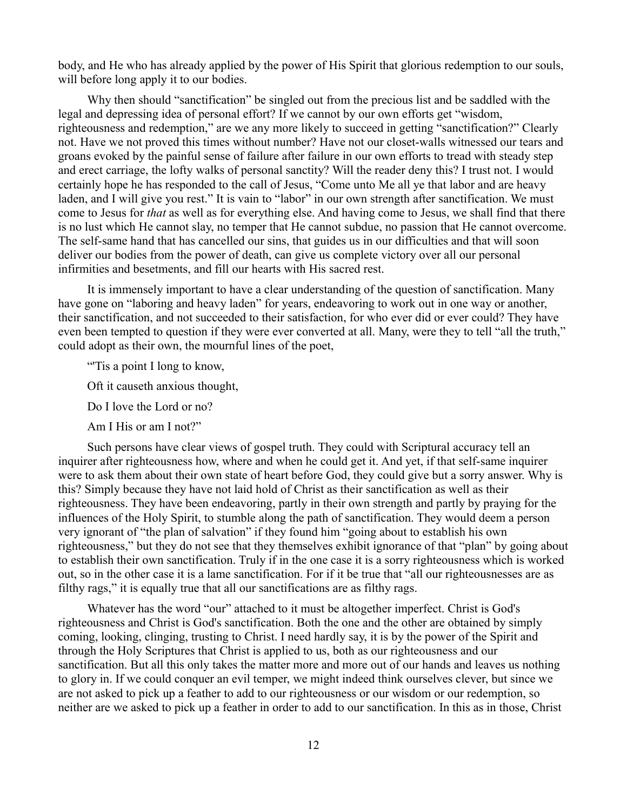body, and He who has already applied by the power of His Spirit that glorious redemption to our souls, will before long apply it to our bodies.

Why then should "sanctification" be singled out from the precious list and be saddled with the legal and depressing idea of personal effort? If we cannot by our own efforts get "wisdom, righteousness and redemption," are we any more likely to succeed in getting "sanctification?" Clearly not. Have we not proved this times without number? Have not our closet-walls witnessed our tears and groans evoked by the painful sense of failure after failure in our own efforts to tread with steady step and erect carriage, the lofty walks of personal sanctity? Will the reader deny this? I trust not. I would certainly hope he has responded to the call of Jesus, "Come unto Me all ye that labor and are heavy laden, and I will give you rest." It is vain to "labor" in our own strength after sanctification. We must come to Jesus for *that* as well as for everything else. And having come to Jesus, we shall find that there is no lust which He cannot slay, no temper that He cannot subdue, no passion that He cannot overcome. The self-same hand that has cancelled our sins, that guides us in our difficulties and that will soon deliver our bodies from the power of death, can give us complete victory over all our personal infirmities and besetments, and fill our hearts with His sacred rest.

It is immensely important to have a clear understanding of the question of sanctification. Many have gone on "laboring and heavy laden" for years, endeavoring to work out in one way or another, their sanctification, and not succeeded to their satisfaction, for who ever did or ever could? They have even been tempted to question if they were ever converted at all. Many, were they to tell "all the truth," could adopt as their own, the mournful lines of the poet,

"'Tis a point I long to know,

Oft it causeth anxious thought,

Do I love the Lord or no?

Am I His or am I not?"

Such persons have clear views of gospel truth. They could with Scriptural accuracy tell an inquirer after righteousness how, where and when he could get it. And yet, if that self-same inquirer were to ask them about their own state of heart before God, they could give but a sorry answer. Why is this? Simply because they have not laid hold of Christ as their sanctification as well as their righteousness. They have been endeavoring, partly in their own strength and partly by praying for the influences of the Holy Spirit, to stumble along the path of sanctification. They would deem a person very ignorant of "the plan of salvation" if they found him "going about to establish his own righteousness," but they do not see that they themselves exhibit ignorance of that "plan" by going about to establish their own sanctification. Truly if in the one case it is a sorry righteousness which is worked out, so in the other case it is a lame sanctification. For if it be true that "all our righteousnesses are as filthy rags," it is equally true that all our sanctifications are as filthy rags.

Whatever has the word "our" attached to it must be altogether imperfect. Christ is God's righteousness and Christ is God's sanctification. Both the one and the other are obtained by simply coming, looking, clinging, trusting to Christ. I need hardly say, it is by the power of the Spirit and through the Holy Scriptures that Christ is applied to us, both as our righteousness and our sanctification. But all this only takes the matter more and more out of our hands and leaves us nothing to glory in. If we could conquer an evil temper, we might indeed think ourselves clever, but since we are not asked to pick up a feather to add to our righteousness or our wisdom or our redemption, so neither are we asked to pick up a feather in order to add to our sanctification. In this as in those, Christ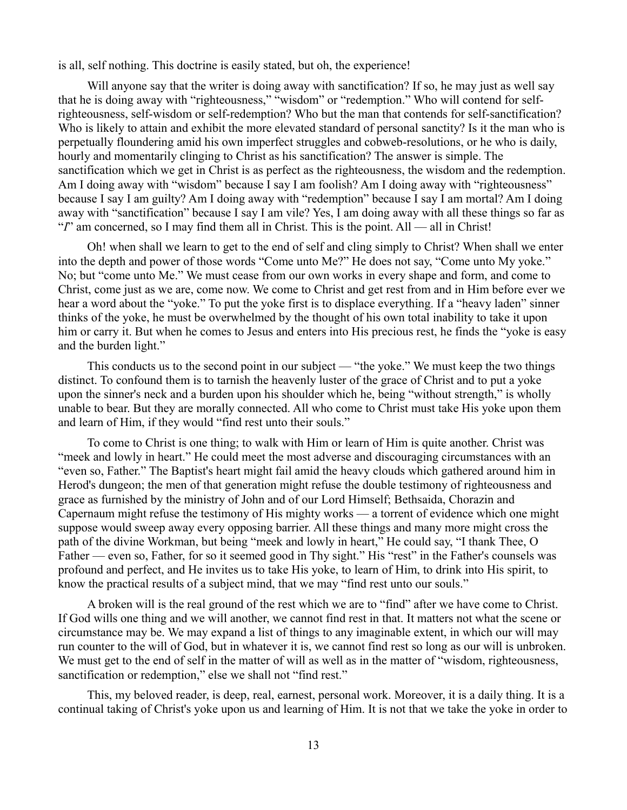is all, self nothing. This doctrine is easily stated, but oh, the experience!

Will anyone say that the writer is doing away with sanctification? If so, he may just as well say that he is doing away with "righteousness," "wisdom" or "redemption." Who will contend for selfrighteousness, self-wisdom or self-redemption? Who but the man that contends for self-sanctification? Who is likely to attain and exhibit the more elevated standard of personal sanctity? Is it the man who is perpetually floundering amid his own imperfect struggles and cobweb-resolutions, or he who is daily, hourly and momentarily clinging to Christ as his sanctification? The answer is simple. The sanctification which we get in Christ is as perfect as the righteousness, the wisdom and the redemption. Am I doing away with "wisdom" because I say I am foolish? Am I doing away with "righteousness" because I say I am guilty? Am I doing away with "redemption" because I say I am mortal? Am I doing away with "sanctification" because I say I am vile? Yes, I am doing away with all these things so far as "*I*" am concerned, so I may find them all in Christ. This is the point. All — all in Christ!

Oh! when shall we learn to get to the end of self and cling simply to Christ? When shall we enter into the depth and power of those words "Come unto Me?" He does not say, "Come unto My yoke." No; but "come unto Me." We must cease from our own works in every shape and form, and come to Christ, come just as we are, come now. We come to Christ and get rest from and in Him before ever we hear a word about the "yoke." To put the yoke first is to displace everything. If a "heavy laden" sinner thinks of the yoke, he must be overwhelmed by the thought of his own total inability to take it upon him or carry it. But when he comes to Jesus and enters into His precious rest, he finds the "yoke is easy and the burden light."

This conducts us to the second point in our subject — "the yoke." We must keep the two things distinct. To confound them is to tarnish the heavenly luster of the grace of Christ and to put a yoke upon the sinner's neck and a burden upon his shoulder which he, being "without strength," is wholly unable to bear. But they are morally connected. All who come to Christ must take His yoke upon them and learn of Him, if they would "find rest unto their souls."

To come to Christ is one thing; to walk with Him or learn of Him is quite another. Christ was "meek and lowly in heart." He could meet the most adverse and discouraging circumstances with an "even so, Father." The Baptist's heart might fail amid the heavy clouds which gathered around him in Herod's dungeon; the men of that generation might refuse the double testimony of righteousness and grace as furnished by the ministry of John and of our Lord Himself; Bethsaida, Chorazin and Capernaum might refuse the testimony of His mighty works — a torrent of evidence which one might suppose would sweep away every opposing barrier. All these things and many more might cross the path of the divine Workman, but being "meek and lowly in heart," He could say, "I thank Thee, O Father — even so, Father, for so it seemed good in Thy sight." His "rest" in the Father's counsels was profound and perfect, and He invites us to take His yoke, to learn of Him, to drink into His spirit, to know the practical results of a subject mind, that we may "find rest unto our souls."

A broken will is the real ground of the rest which we are to "find" after we have come to Christ. If God wills one thing and we will another, we cannot find rest in that. It matters not what the scene or circumstance may be. We may expand a list of things to any imaginable extent, in which our will may run counter to the will of God, but in whatever it is, we cannot find rest so long as our will is unbroken. We must get to the end of self in the matter of will as well as in the matter of "wisdom, righteousness, sanctification or redemption," else we shall not "find rest."

This, my beloved reader, is deep, real, earnest, personal work. Moreover, it is a daily thing. It is a continual taking of Christ's yoke upon us and learning of Him. It is not that we take the yoke in order to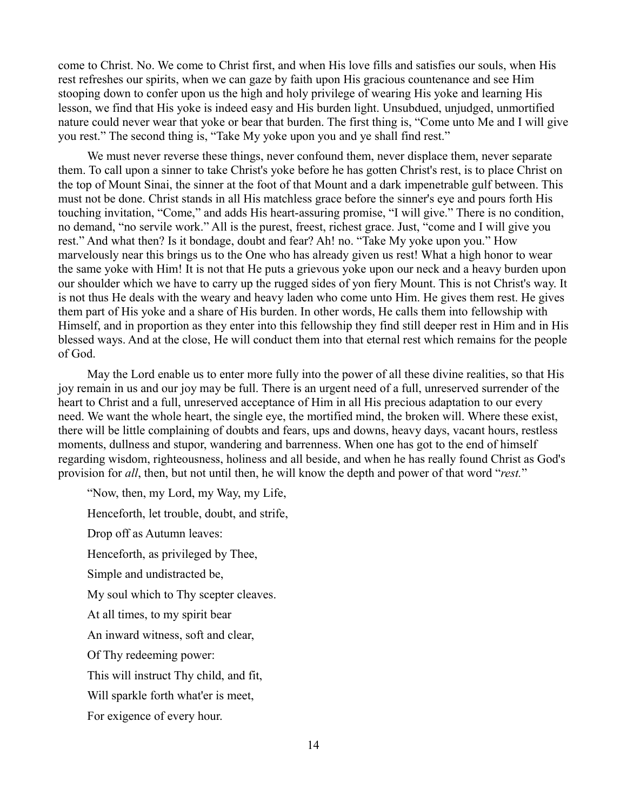come to Christ. No. We come to Christ first, and when His love fills and satisfies our souls, when His rest refreshes our spirits, when we can gaze by faith upon His gracious countenance and see Him stooping down to confer upon us the high and holy privilege of wearing His yoke and learning His lesson, we find that His yoke is indeed easy and His burden light. Unsubdued, unjudged, unmortified nature could never wear that yoke or bear that burden. The first thing is, "Come unto Me and I will give you rest." The second thing is, "Take My yoke upon you and ye shall find rest."

We must never reverse these things, never confound them, never displace them, never separate them. To call upon a sinner to take Christ's yoke before he has gotten Christ's rest, is to place Christ on the top of Mount Sinai, the sinner at the foot of that Mount and a dark impenetrable gulf between. This must not be done. Christ stands in all His matchless grace before the sinner's eye and pours forth His touching invitation, "Come," and adds His heart-assuring promise, "I will give." There is no condition, no demand, "no servile work." All is the purest, freest, richest grace. Just, "come and I will give you rest." And what then? Is it bondage, doubt and fear? Ah! no. "Take My yoke upon you." How marvelously near this brings us to the One who has already given us rest! What a high honor to wear the same yoke with Him! It is not that He puts a grievous yoke upon our neck and a heavy burden upon our shoulder which we have to carry up the rugged sides of yon fiery Mount. This is not Christ's way. It is not thus He deals with the weary and heavy laden who come unto Him. He gives them rest. He gives them part of His yoke and a share of His burden. In other words, He calls them into fellowship with Himself, and in proportion as they enter into this fellowship they find still deeper rest in Him and in His blessed ways. And at the close, He will conduct them into that eternal rest which remains for the people of God.

May the Lord enable us to enter more fully into the power of all these divine realities, so that His joy remain in us and our joy may be full. There is an urgent need of a full, unreserved surrender of the heart to Christ and a full, unreserved acceptance of Him in all His precious adaptation to our every need. We want the whole heart, the single eye, the mortified mind, the broken will. Where these exist, there will be little complaining of doubts and fears, ups and downs, heavy days, vacant hours, restless moments, dullness and stupor, wandering and barrenness. When one has got to the end of himself regarding wisdom, righteousness, holiness and all beside, and when he has really found Christ as God's provision for *all*, then, but not until then, he will know the depth and power of that word "*rest.*"

"Now, then, my Lord, my Way, my Life, Henceforth, let trouble, doubt, and strife, Drop off as Autumn leaves: Henceforth, as privileged by Thee, Simple and undistracted be, My soul which to Thy scepter cleaves. At all times, to my spirit bear An inward witness, soft and clear, Of Thy redeeming power: This will instruct Thy child, and fit, Will sparkle forth what'er is meet, For exigence of every hour.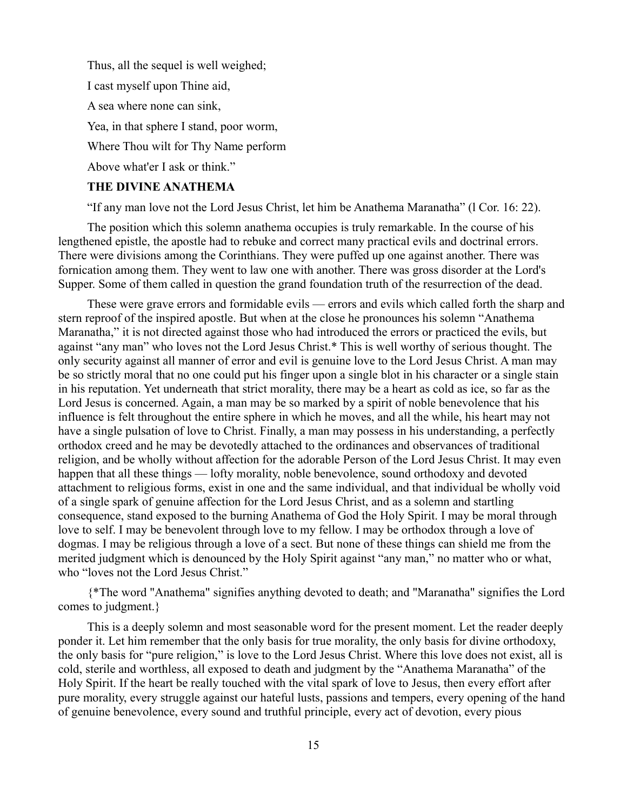Thus, all the sequel is well weighed; I cast myself upon Thine aid, A sea where none can sink, Yea, in that sphere I stand, poor worm, Where Thou wilt for Thy Name perform Above what'er I ask or think."

#### **THE DIVINE ANATHEMA**

"If any man love not the Lord Jesus Christ, let him be Anathema Maranatha" (l Cor. 16: 22).

The position which this solemn anathema occupies is truly remarkable. In the course of his lengthened epistle, the apostle had to rebuke and correct many practical evils and doctrinal errors. There were divisions among the Corinthians. They were puffed up one against another. There was fornication among them. They went to law one with another. There was gross disorder at the Lord's Supper. Some of them called in question the grand foundation truth of the resurrection of the dead.

These were grave errors and formidable evils — errors and evils which called forth the sharp and stern reproof of the inspired apostle. But when at the close he pronounces his solemn "Anathema Maranatha," it is not directed against those who had introduced the errors or practiced the evils, but against "any man" who loves not the Lord Jesus Christ.\* This is well worthy of serious thought. The only security against all manner of error and evil is genuine love to the Lord Jesus Christ. A man may be so strictly moral that no one could put his finger upon a single blot in his character or a single stain in his reputation. Yet underneath that strict morality, there may be a heart as cold as ice, so far as the Lord Jesus is concerned. Again, a man may be so marked by a spirit of noble benevolence that his influence is felt throughout the entire sphere in which he moves, and all the while, his heart may not have a single pulsation of love to Christ. Finally, a man may possess in his understanding, a perfectly orthodox creed and he may be devotedly attached to the ordinances and observances of traditional religion, and be wholly without affection for the adorable Person of the Lord Jesus Christ. It may even happen that all these things — lofty morality, noble benevolence, sound orthodoxy and devoted attachment to religious forms, exist in one and the same individual, and that individual be wholly void of a single spark of genuine affection for the Lord Jesus Christ, and as a solemn and startling consequence, stand exposed to the burning Anathema of God the Holy Spirit. I may be moral through love to self. I may be benevolent through love to my fellow. I may be orthodox through a love of dogmas. I may be religious through a love of a sect. But none of these things can shield me from the merited judgment which is denounced by the Holy Spirit against "any man," no matter who or what, who "loves not the Lord Jesus Christ."

{\*The word "Anathema" signifies anything devoted to death; and "Maranatha" signifies the Lord comes to judgment.}

This is a deeply solemn and most seasonable word for the present moment. Let the reader deeply ponder it. Let him remember that the only basis for true morality, the only basis for divine orthodoxy, the only basis for "pure religion," is love to the Lord Jesus Christ. Where this love does not exist, all is cold, sterile and worthless, all exposed to death and judgment by the "Anathema Maranatha" of the Holy Spirit. If the heart be really touched with the vital spark of love to Jesus, then every effort after pure morality, every struggle against our hateful lusts, passions and tempers, every opening of the hand of genuine benevolence, every sound and truthful principle, every act of devotion, every pious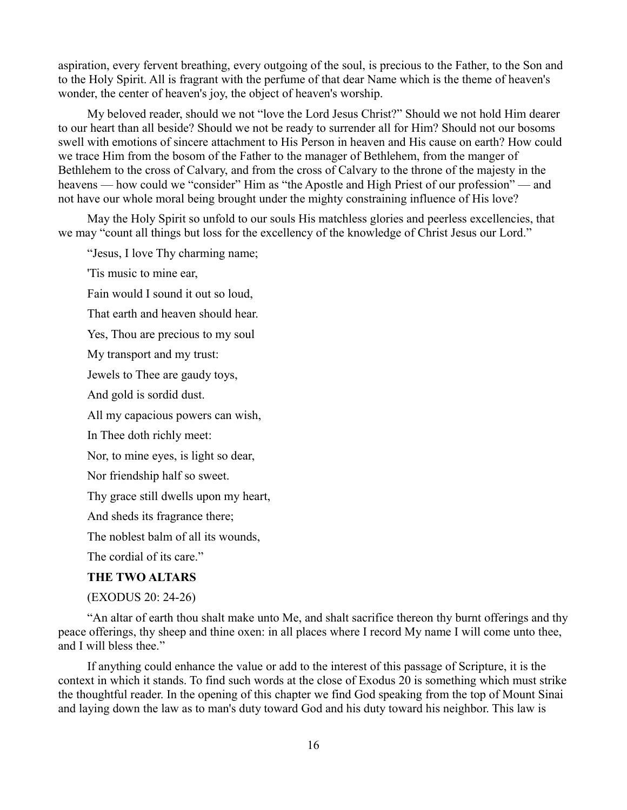aspiration, every fervent breathing, every outgoing of the soul, is precious to the Father, to the Son and to the Holy Spirit. All is fragrant with the perfume of that dear Name which is the theme of heaven's wonder, the center of heaven's joy, the object of heaven's worship.

My beloved reader, should we not "love the Lord Jesus Christ?" Should we not hold Him dearer to our heart than all beside? Should we not be ready to surrender all for Him? Should not our bosoms swell with emotions of sincere attachment to His Person in heaven and His cause on earth? How could we trace Him from the bosom of the Father to the manager of Bethlehem, from the manger of Bethlehem to the cross of Calvary, and from the cross of Calvary to the throne of the majesty in the heavens — how could we "consider" Him as "the Apostle and High Priest of our profession" — and not have our whole moral being brought under the mighty constraining influence of His love?

May the Holy Spirit so unfold to our souls His matchless glories and peerless excellencies, that we may "count all things but loss for the excellency of the knowledge of Christ Jesus our Lord."

"Jesus, I love Thy charming name;

'Tis music to mine ear,

Fain would I sound it out so loud,

That earth and heaven should hear.

Yes, Thou are precious to my soul

My transport and my trust:

Jewels to Thee are gaudy toys,

And gold is sordid dust.

All my capacious powers can wish,

In Thee doth richly meet:

Nor, to mine eyes, is light so dear,

Nor friendship half so sweet.

Thy grace still dwells upon my heart,

And sheds its fragrance there;

The noblest balm of all its wounds,

The cordial of its care."

#### **THE TWO ALTARS**

#### (EXODUS 20: 24-26)

"An altar of earth thou shalt make unto Me, and shalt sacrifice thereon thy burnt offerings and thy peace offerings, thy sheep and thine oxen: in all places where I record My name I will come unto thee, and I will bless thee."

If anything could enhance the value or add to the interest of this passage of Scripture, it is the context in which it stands. To find such words at the close of Exodus 20 is something which must strike the thoughtful reader. In the opening of this chapter we find God speaking from the top of Mount Sinai and laying down the law as to man's duty toward God and his duty toward his neighbor. This law is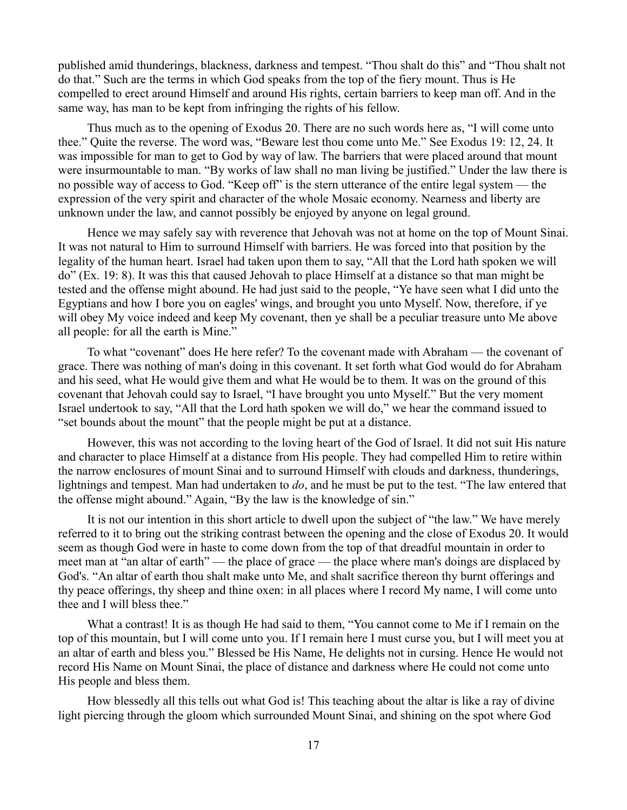published amid thunderings, blackness, darkness and tempest. "Thou shalt do this" and "Thou shalt not do that." Such are the terms in which God speaks from the top of the fiery mount. Thus is He compelled to erect around Himself and around His rights, certain barriers to keep man off. And in the same way, has man to be kept from infringing the rights of his fellow.

Thus much as to the opening of Exodus 20. There are no such words here as, "I will come unto thee." Quite the reverse. The word was, "Beware lest thou come unto Me." See Exodus 19: 12, 24. It was impossible for man to get to God by way of law. The barriers that were placed around that mount were insurmountable to man. "By works of law shall no man living be justified." Under the law there is no possible way of access to God. "Keep off" is the stern utterance of the entire legal system — the expression of the very spirit and character of the whole Mosaic economy. Nearness and liberty are unknown under the law, and cannot possibly be enjoyed by anyone on legal ground.

Hence we may safely say with reverence that Jehovah was not at home on the top of Mount Sinai. It was not natural to Him to surround Himself with barriers. He was forced into that position by the legality of the human heart. Israel had taken upon them to say, "All that the Lord hath spoken we will do" (Ex. 19: 8). It was this that caused Jehovah to place Himself at a distance so that man might be tested and the offense might abound. He had just said to the people, "Ye have seen what I did unto the Egyptians and how I bore you on eagles' wings, and brought you unto Myself. Now, therefore, if ye will obey My voice indeed and keep My covenant, then ye shall be a peculiar treasure unto Me above all people: for all the earth is Mine."

To what "covenant" does He here refer? To the covenant made with Abraham — the covenant of grace. There was nothing of man's doing in this covenant. It set forth what God would do for Abraham and his seed, what He would give them and what He would be to them. It was on the ground of this covenant that Jehovah could say to Israel, "I have brought you unto Myself." But the very moment Israel undertook to say, "All that the Lord hath spoken we will do," we hear the command issued to "set bounds about the mount" that the people might be put at a distance.

However, this was not according to the loving heart of the God of Israel. It did not suit His nature and character to place Himself at a distance from His people. They had compelled Him to retire within the narrow enclosures of mount Sinai and to surround Himself with clouds and darkness, thunderings, lightnings and tempest. Man had undertaken to *do*, and he must be put to the test. "The law entered that the offense might abound." Again, "By the law is the knowledge of sin."

It is not our intention in this short article to dwell upon the subject of "the law." We have merely referred to it to bring out the striking contrast between the opening and the close of Exodus 20. It would seem as though God were in haste to come down from the top of that dreadful mountain in order to meet man at "an altar of earth" — the place of grace — the place where man's doings are displaced by God's. "An altar of earth thou shalt make unto Me, and shalt sacrifice thereon thy burnt offerings and thy peace offerings, thy sheep and thine oxen: in all places where I record My name, I will come unto thee and I will bless thee."

What a contrast! It is as though He had said to them, "You cannot come to Me if I remain on the top of this mountain, but I will come unto you. If I remain here I must curse you, but I will meet you at an altar of earth and bless you." Blessed be His Name, He delights not in cursing. Hence He would not record His Name on Mount Sinai, the place of distance and darkness where He could not come unto His people and bless them.

How blessedly all this tells out what God is! This teaching about the altar is like a ray of divine light piercing through the gloom which surrounded Mount Sinai, and shining on the spot where God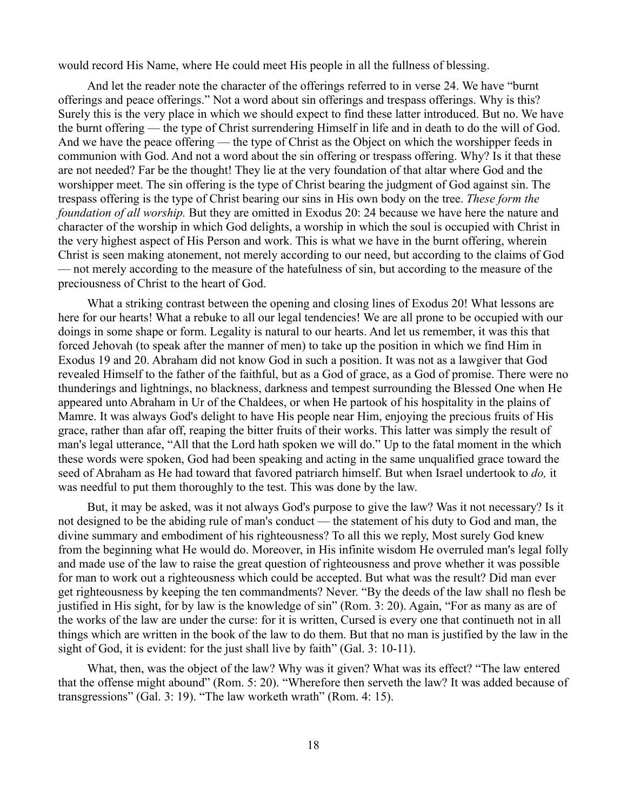would record His Name, where He could meet His people in all the fullness of blessing.

And let the reader note the character of the offerings referred to in verse 24. We have "burnt offerings and peace offerings." Not a word about sin offerings and trespass offerings. Why is this? Surely this is the very place in which we should expect to find these latter introduced. But no. We have the burnt offering — the type of Christ surrendering Himself in life and in death to do the will of God. And we have the peace offering — the type of Christ as the Object on which the worshipper feeds in communion with God. And not a word about the sin offering or trespass offering. Why? Is it that these are not needed? Far be the thought! They lie at the very foundation of that altar where God and the worshipper meet. The sin offering is the type of Christ bearing the judgment of God against sin. The trespass offering is the type of Christ bearing our sins in His own body on the tree. *These form the foundation of all worship.* But they are omitted in Exodus 20: 24 because we have here the nature and character of the worship in which God delights, a worship in which the soul is occupied with Christ in the very highest aspect of His Person and work. This is what we have in the burnt offering, wherein Christ is seen making atonement, not merely according to our need, but according to the claims of God — not merely according to the measure of the hatefulness of sin, but according to the measure of the preciousness of Christ to the heart of God.

What a striking contrast between the opening and closing lines of Exodus 20! What lessons are here for our hearts! What a rebuke to all our legal tendencies! We are all prone to be occupied with our doings in some shape or form. Legality is natural to our hearts. And let us remember, it was this that forced Jehovah (to speak after the manner of men) to take up the position in which we find Him in Exodus 19 and 20. Abraham did not know God in such a position. It was not as a lawgiver that God revealed Himself to the father of the faithful, but as a God of grace, as a God of promise. There were no thunderings and lightnings, no blackness, darkness and tempest surrounding the Blessed One when He appeared unto Abraham in Ur of the Chaldees, or when He partook of his hospitality in the plains of Mamre. It was always God's delight to have His people near Him, enjoying the precious fruits of His grace, rather than afar off, reaping the bitter fruits of their works. This latter was simply the result of man's legal utterance, "All that the Lord hath spoken we will do." Up to the fatal moment in the which these words were spoken, God had been speaking and acting in the same unqualified grace toward the seed of Abraham as He had toward that favored patriarch himself. But when Israel undertook to *do,* it was needful to put them thoroughly to the test. This was done by the law.

But, it may be asked, was it not always God's purpose to give the law? Was it not necessary? Is it not designed to be the abiding rule of man's conduct — the statement of his duty to God and man, the divine summary and embodiment of his righteousness? To all this we reply, Most surely God knew from the beginning what He would do. Moreover, in His infinite wisdom He overruled man's legal folly and made use of the law to raise the great question of righteousness and prove whether it was possible for man to work out a righteousness which could be accepted. But what was the result? Did man ever get righteousness by keeping the ten commandments? Never. "By the deeds of the law shall no flesh be justified in His sight, for by law is the knowledge of sin" (Rom. 3: 20). Again, "For as many as are of the works of the law are under the curse: for it is written, Cursed is every one that continueth not in all things which are written in the book of the law to do them. But that no man is justified by the law in the sight of God, it is evident: for the just shall live by faith" (Gal. 3: 10-11).

What, then, was the object of the law? Why was it given? What was its effect? "The law entered that the offense might abound" (Rom. 5: 20). "Wherefore then serveth the law? It was added because of transgressions" (Gal. 3: 19). "The law worketh wrath" (Rom. 4: 15).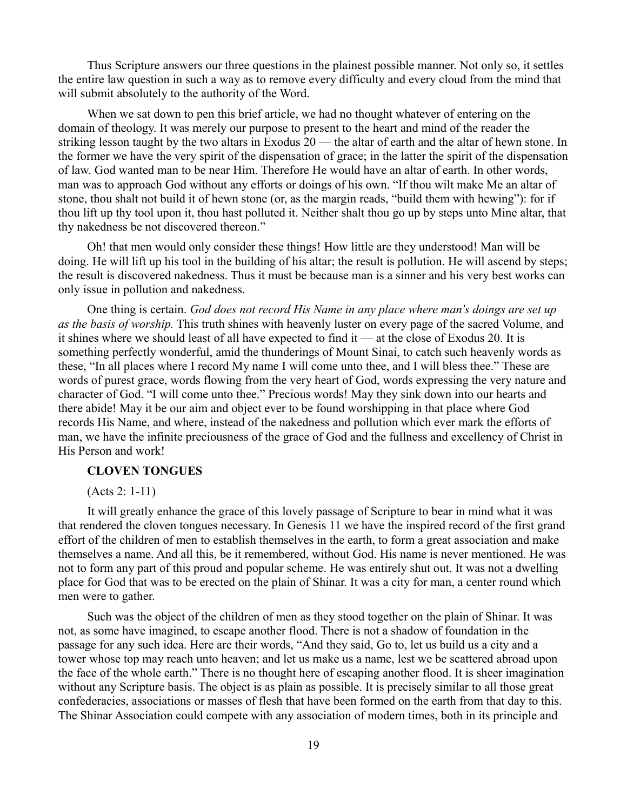Thus Scripture answers our three questions in the plainest possible manner. Not only so, it settles the entire law question in such a way as to remove every difficulty and every cloud from the mind that will submit absolutely to the authority of the Word.

When we sat down to pen this brief article, we had no thought whatever of entering on the domain of theology. It was merely our purpose to present to the heart and mind of the reader the striking lesson taught by the two altars in Exodus 20 — the altar of earth and the altar of hewn stone. In the former we have the very spirit of the dispensation of grace; in the latter the spirit of the dispensation of law. God wanted man to be near Him. Therefore He would have an altar of earth. In other words, man was to approach God without any efforts or doings of his own. "If thou wilt make Me an altar of stone, thou shalt not build it of hewn stone (or, as the margin reads, "build them with hewing"): for if thou lift up thy tool upon it, thou hast polluted it. Neither shalt thou go up by steps unto Mine altar, that thy nakedness be not discovered thereon."

Oh! that men would only consider these things! How little are they understood! Man will be doing. He will lift up his tool in the building of his altar; the result is pollution. He will ascend by steps; the result is discovered nakedness. Thus it must be because man is a sinner and his very best works can only issue in pollution and nakedness.

One thing is certain. *God does not record His Name in any place where man's doings are set up as the basis of worship.* This truth shines with heavenly luster on every page of the sacred Volume, and it shines where we should least of all have expected to find it — at the close of Exodus 20. It is something perfectly wonderful, amid the thunderings of Mount Sinai, to catch such heavenly words as these, "In all places where I record My name I will come unto thee, and I will bless thee." These are words of purest grace, words flowing from the very heart of God, words expressing the very nature and character of God. "I will come unto thee." Precious words! May they sink down into our hearts and there abide! May it be our aim and object ever to be found worshipping in that place where God records His Name, and where, instead of the nakedness and pollution which ever mark the efforts of man, we have the infinite preciousness of the grace of God and the fullness and excellency of Christ in His Person and work!

#### **CLOVEN TONGUES**

#### (Acts 2: 1-11)

It will greatly enhance the grace of this lovely passage of Scripture to bear in mind what it was that rendered the cloven tongues necessary. In Genesis 11 we have the inspired record of the first grand effort of the children of men to establish themselves in the earth, to form a great association and make themselves a name. And all this, be it remembered, without God. His name is never mentioned. He was not to form any part of this proud and popular scheme. He was entirely shut out. It was not a dwelling place for God that was to be erected on the plain of Shinar. It was a city for man, a center round which men were to gather.

Such was the object of the children of men as they stood together on the plain of Shinar. It was not, as some have imagined, to escape another flood. There is not a shadow of foundation in the passage for any such idea. Here are their words, "And they said, Go to, let us build us a city and a tower whose top may reach unto heaven; and let us make us a name, lest we be scattered abroad upon the face of the whole earth." There is no thought here of escaping another flood. It is sheer imagination without any Scripture basis. The object is as plain as possible. It is precisely similar to all those great confederacies, associations or masses of flesh that have been formed on the earth from that day to this. The Shinar Association could compete with any association of modern times, both in its principle and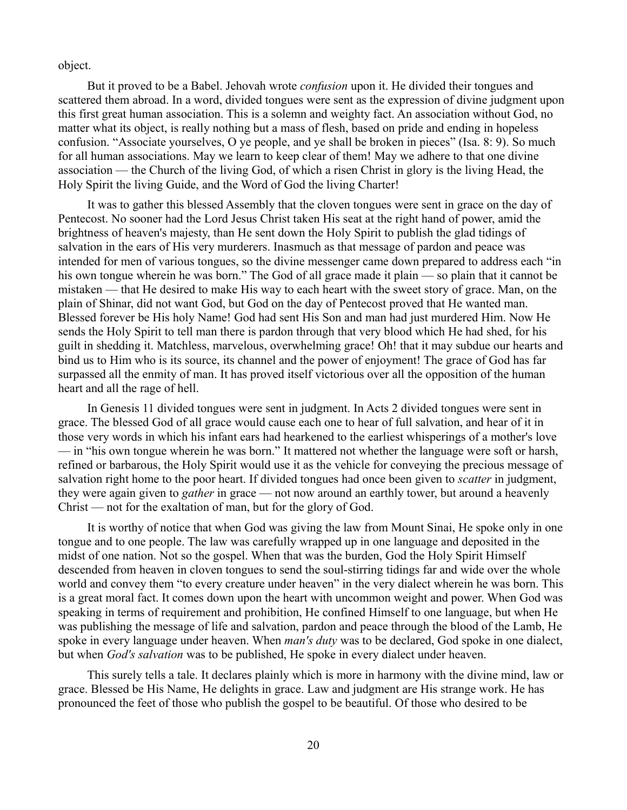object.

But it proved to be a Babel. Jehovah wrote *confusion* upon it. He divided their tongues and scattered them abroad. In a word, divided tongues were sent as the expression of divine judgment upon this first great human association. This is a solemn and weighty fact. An association without God, no matter what its object, is really nothing but a mass of flesh, based on pride and ending in hopeless confusion. "Associate yourselves, O ye people, and ye shall be broken in pieces" (Isa. 8: 9). So much for all human associations. May we learn to keep clear of them! May we adhere to that one divine association — the Church of the living God, of which a risen Christ in glory is the living Head, the Holy Spirit the living Guide, and the Word of God the living Charter!

It was to gather this blessed Assembly that the cloven tongues were sent in grace on the day of Pentecost. No sooner had the Lord Jesus Christ taken His seat at the right hand of power, amid the brightness of heaven's majesty, than He sent down the Holy Spirit to publish the glad tidings of salvation in the ears of His very murderers. Inasmuch as that message of pardon and peace was intended for men of various tongues, so the divine messenger came down prepared to address each "in his own tongue wherein he was born." The God of all grace made it plain — so plain that it cannot be mistaken — that He desired to make His way to each heart with the sweet story of grace. Man, on the plain of Shinar, did not want God, but God on the day of Pentecost proved that He wanted man. Blessed forever be His holy Name! God had sent His Son and man had just murdered Him. Now He sends the Holy Spirit to tell man there is pardon through that very blood which He had shed, for his guilt in shedding it. Matchless, marvelous, overwhelming grace! Oh! that it may subdue our hearts and bind us to Him who is its source, its channel and the power of enjoyment! The grace of God has far surpassed all the enmity of man. It has proved itself victorious over all the opposition of the human heart and all the rage of hell.

In Genesis 11 divided tongues were sent in judgment. In Acts 2 divided tongues were sent in grace. The blessed God of all grace would cause each one to hear of full salvation, and hear of it in those very words in which his infant ears had hearkened to the earliest whisperings of a mother's love — in "his own tongue wherein he was born." It mattered not whether the language were soft or harsh, refined or barbarous, the Holy Spirit would use it as the vehicle for conveying the precious message of salvation right home to the poor heart. If divided tongues had once been given to *scatter* in judgment, they were again given to *gather* in grace — not now around an earthly tower, but around a heavenly Christ — not for the exaltation of man, but for the glory of God.

It is worthy of notice that when God was giving the law from Mount Sinai, He spoke only in one tongue and to one people. The law was carefully wrapped up in one language and deposited in the midst of one nation. Not so the gospel. When that was the burden, God the Holy Spirit Himself descended from heaven in cloven tongues to send the soul-stirring tidings far and wide over the whole world and convey them "to every creature under heaven" in the very dialect wherein he was born. This is a great moral fact. It comes down upon the heart with uncommon weight and power. When God was speaking in terms of requirement and prohibition, He confined Himself to one language, but when He was publishing the message of life and salvation, pardon and peace through the blood of the Lamb, He spoke in every language under heaven. When *man's duty* was to be declared, God spoke in one dialect, but when *God's salvation* was to be published, He spoke in every dialect under heaven.

This surely tells a tale. It declares plainly which is more in harmony with the divine mind, law or grace. Blessed be His Name, He delights in grace. Law and judgment are His strange work. He has pronounced the feet of those who publish the gospel to be beautiful. Of those who desired to be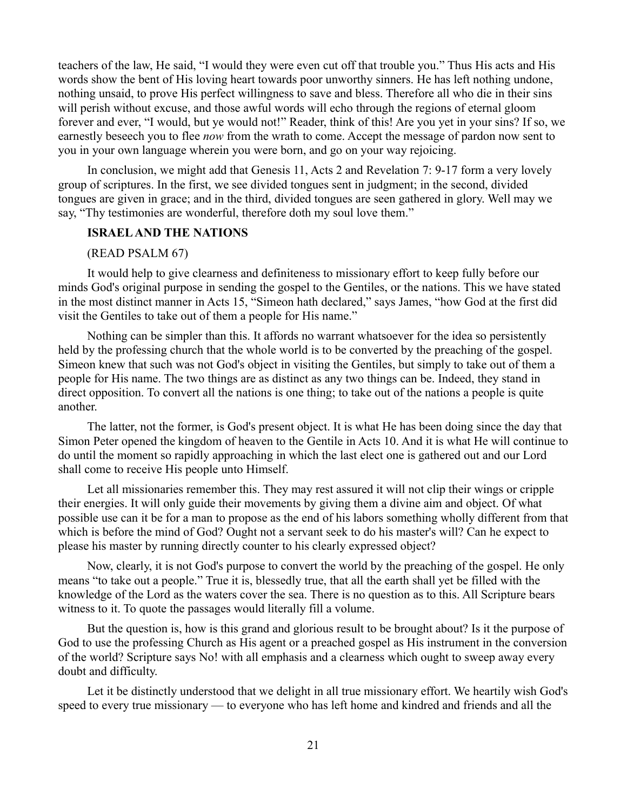teachers of the law, He said, "I would they were even cut off that trouble you." Thus His acts and His words show the bent of His loving heart towards poor unworthy sinners. He has left nothing undone, nothing unsaid, to prove His perfect willingness to save and bless. Therefore all who die in their sins will perish without excuse, and those awful words will echo through the regions of eternal gloom forever and ever, "I would, but ye would not!" Reader, think of this! Are you yet in your sins? If so, we earnestly beseech you to flee *now* from the wrath to come. Accept the message of pardon now sent to you in your own language wherein you were born, and go on your way rejoicing.

In conclusion, we might add that Genesis 11, Acts 2 and Revelation 7: 9-17 form a very lovely group of scriptures. In the first, we see divided tongues sent in judgment; in the second, divided tongues are given in grace; and in the third, divided tongues are seen gathered in glory. Well may we say, "Thy testimonies are wonderful, therefore doth my soul love them."

## **ISRAEL AND THE NATIONS**

## (READ PSALM 67)

It would help to give clearness and definiteness to missionary effort to keep fully before our minds God's original purpose in sending the gospel to the Gentiles, or the nations. This we have stated in the most distinct manner in Acts 15, "Simeon hath declared," says James, "how God at the first did visit the Gentiles to take out of them a people for His name."

Nothing can be simpler than this. It affords no warrant whatsoever for the idea so persistently held by the professing church that the whole world is to be converted by the preaching of the gospel. Simeon knew that such was not God's object in visiting the Gentiles, but simply to take out of them a people for His name. The two things are as distinct as any two things can be. Indeed, they stand in direct opposition. To convert all the nations is one thing; to take out of the nations a people is quite another.

The latter, not the former, is God's present object. It is what He has been doing since the day that Simon Peter opened the kingdom of heaven to the Gentile in Acts 10. And it is what He will continue to do until the moment so rapidly approaching in which the last elect one is gathered out and our Lord shall come to receive His people unto Himself.

Let all missionaries remember this. They may rest assured it will not clip their wings or cripple their energies. It will only guide their movements by giving them a divine aim and object. Of what possible use can it be for a man to propose as the end of his labors something wholly different from that which is before the mind of God? Ought not a servant seek to do his master's will? Can he expect to please his master by running directly counter to his clearly expressed object?

Now, clearly, it is not God's purpose to convert the world by the preaching of the gospel. He only means "to take out a people." True it is, blessedly true, that all the earth shall yet be filled with the knowledge of the Lord as the waters cover the sea. There is no question as to this. All Scripture bears witness to it. To quote the passages would literally fill a volume.

But the question is, how is this grand and glorious result to be brought about? Is it the purpose of God to use the professing Church as His agent or a preached gospel as His instrument in the conversion of the world? Scripture says No! with all emphasis and a clearness which ought to sweep away every doubt and difficulty.

Let it be distinctly understood that we delight in all true missionary effort. We heartily wish God's speed to every true missionary — to everyone who has left home and kindred and friends and all the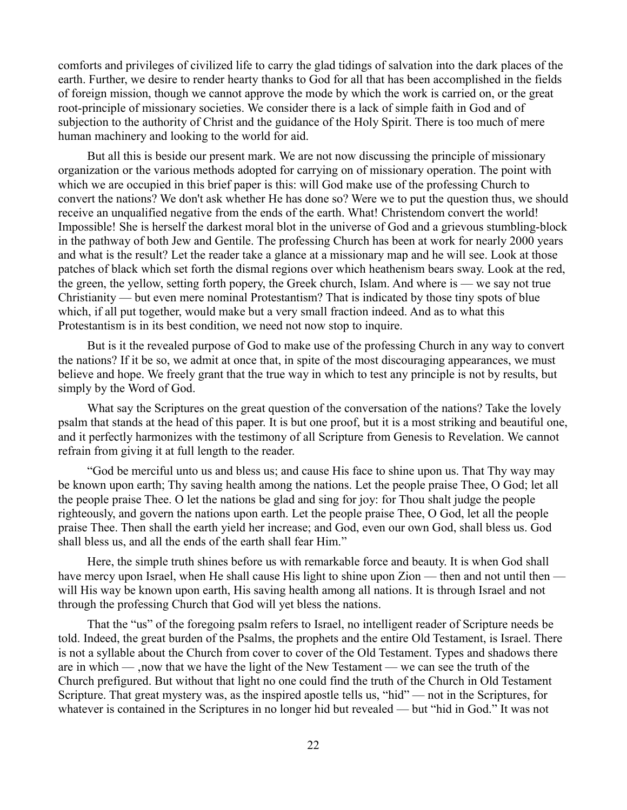comforts and privileges of civilized life to carry the glad tidings of salvation into the dark places of the earth. Further, we desire to render hearty thanks to God for all that has been accomplished in the fields of foreign mission, though we cannot approve the mode by which the work is carried on, or the great root-principle of missionary societies. We consider there is a lack of simple faith in God and of subjection to the authority of Christ and the guidance of the Holy Spirit. There is too much of mere human machinery and looking to the world for aid.

But all this is beside our present mark. We are not now discussing the principle of missionary organization or the various methods adopted for carrying on of missionary operation. The point with which we are occupied in this brief paper is this: will God make use of the professing Church to convert the nations? We don't ask whether He has done so? Were we to put the question thus, we should receive an unqualified negative from the ends of the earth. What! Christendom convert the world! Impossible! She is herself the darkest moral blot in the universe of God and a grievous stumbling-block in the pathway of both Jew and Gentile. The professing Church has been at work for nearly 2000 years and what is the result? Let the reader take a glance at a missionary map and he will see. Look at those patches of black which set forth the dismal regions over which heathenism bears sway. Look at the red, the green, the yellow, setting forth popery, the Greek church, Islam. And where is — we say not true Christianity — but even mere nominal Protestantism? That is indicated by those tiny spots of blue which, if all put together, would make but a very small fraction indeed. And as to what this Protestantism is in its best condition, we need not now stop to inquire.

But is it the revealed purpose of God to make use of the professing Church in any way to convert the nations? If it be so, we admit at once that, in spite of the most discouraging appearances, we must believe and hope. We freely grant that the true way in which to test any principle is not by results, but simply by the Word of God.

What say the Scriptures on the great question of the conversation of the nations? Take the lovely psalm that stands at the head of this paper. It is but one proof, but it is a most striking and beautiful one, and it perfectly harmonizes with the testimony of all Scripture from Genesis to Revelation. We cannot refrain from giving it at full length to the reader.

"God be merciful unto us and bless us; and cause His face to shine upon us. That Thy way may be known upon earth; Thy saving health among the nations. Let the people praise Thee, O God; let all the people praise Thee. O let the nations be glad and sing for joy: for Thou shalt judge the people righteously, and govern the nations upon earth. Let the people praise Thee, O God, let all the people praise Thee. Then shall the earth yield her increase; and God, even our own God, shall bless us. God shall bless us, and all the ends of the earth shall fear Him."

Here, the simple truth shines before us with remarkable force and beauty. It is when God shall have mercy upon Israel, when He shall cause His light to shine upon Zion — then and not until then will His way be known upon earth, His saving health among all nations. It is through Israel and not through the professing Church that God will yet bless the nations.

That the "us" of the foregoing psalm refers to Israel, no intelligent reader of Scripture needs be told. Indeed, the great burden of the Psalms, the prophets and the entire Old Testament, is Israel. There is not a syllable about the Church from cover to cover of the Old Testament. Types and shadows there are in which — ,now that we have the light of the New Testament — we can see the truth of the Church prefigured. But without that light no one could find the truth of the Church in Old Testament Scripture. That great mystery was, as the inspired apostle tells us, "hid" — not in the Scriptures, for whatever is contained in the Scriptures in no longer hid but revealed — but "hid in God." It was not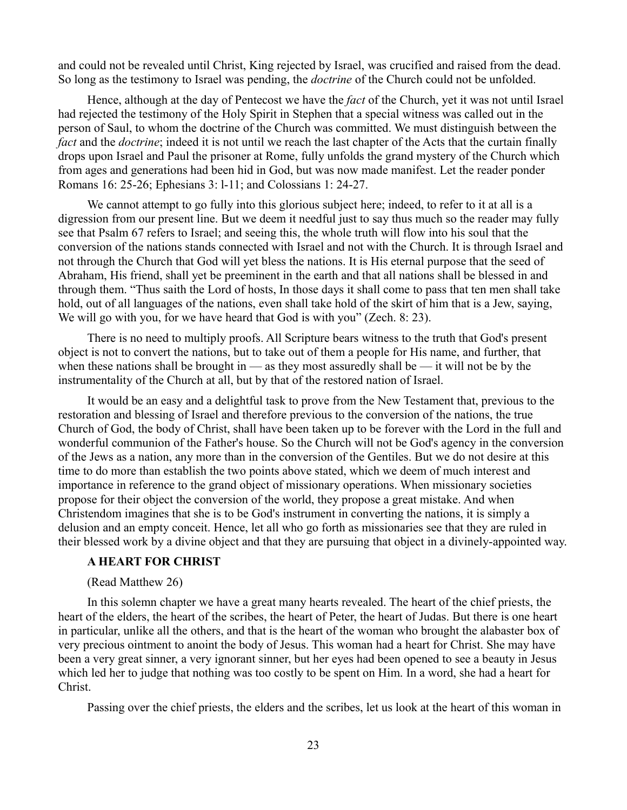and could not be revealed until Christ, King rejected by Israel, was crucified and raised from the dead. So long as the testimony to Israel was pending, the *doctrine* of the Church could not be unfolded.

Hence, although at the day of Pentecost we have the *fact* of the Church, yet it was not until Israel had rejected the testimony of the Holy Spirit in Stephen that a special witness was called out in the person of Saul, to whom the doctrine of the Church was committed. We must distinguish between the *fact* and the *doctrine*; indeed it is not until we reach the last chapter of the Acts that the curtain finally drops upon Israel and Paul the prisoner at Rome, fully unfolds the grand mystery of the Church which from ages and generations had been hid in God, but was now made manifest. Let the reader ponder Romans 16: 25-26; Ephesians 3: l-11; and Colossians 1: 24-27.

We cannot attempt to go fully into this glorious subject here; indeed, to refer to it at all is a digression from our present line. But we deem it needful just to say thus much so the reader may fully see that Psalm 67 refers to Israel; and seeing this, the whole truth will flow into his soul that the conversion of the nations stands connected with Israel and not with the Church. It is through Israel and not through the Church that God will yet bless the nations. It is His eternal purpose that the seed of Abraham, His friend, shall yet be preeminent in the earth and that all nations shall be blessed in and through them. "Thus saith the Lord of hosts, In those days it shall come to pass that ten men shall take hold, out of all languages of the nations, even shall take hold of the skirt of him that is a Jew, saying, We will go with you, for we have heard that God is with you" (Zech. 8: 23).

There is no need to multiply proofs. All Scripture bears witness to the truth that God's present object is not to convert the nations, but to take out of them a people for His name, and further, that when these nations shall be brought in — as they most assuredly shall be — it will not be by the instrumentality of the Church at all, but by that of the restored nation of Israel.

It would be an easy and a delightful task to prove from the New Testament that, previous to the restoration and blessing of Israel and therefore previous to the conversion of the nations, the true Church of God, the body of Christ, shall have been taken up to be forever with the Lord in the full and wonderful communion of the Father's house. So the Church will not be God's agency in the conversion of the Jews as a nation, any more than in the conversion of the Gentiles. But we do not desire at this time to do more than establish the two points above stated, which we deem of much interest and importance in reference to the grand object of missionary operations. When missionary societies propose for their object the conversion of the world, they propose a great mistake. And when Christendom imagines that she is to be God's instrument in converting the nations, it is simply a delusion and an empty conceit. Hence, let all who go forth as missionaries see that they are ruled in their blessed work by a divine object and that they are pursuing that object in a divinely-appointed way.

## **A HEART FOR CHRIST**

#### (Read Matthew 26)

In this solemn chapter we have a great many hearts revealed. The heart of the chief priests, the heart of the elders, the heart of the scribes, the heart of Peter, the heart of Judas. But there is one heart in particular, unlike all the others, and that is the heart of the woman who brought the alabaster box of very precious ointment to anoint the body of Jesus. This woman had a heart for Christ. She may have been a very great sinner, a very ignorant sinner, but her eyes had been opened to see a beauty in Jesus which led her to judge that nothing was too costly to be spent on Him. In a word, she had a heart for Christ.

Passing over the chief priests, the elders and the scribes, let us look at the heart of this woman in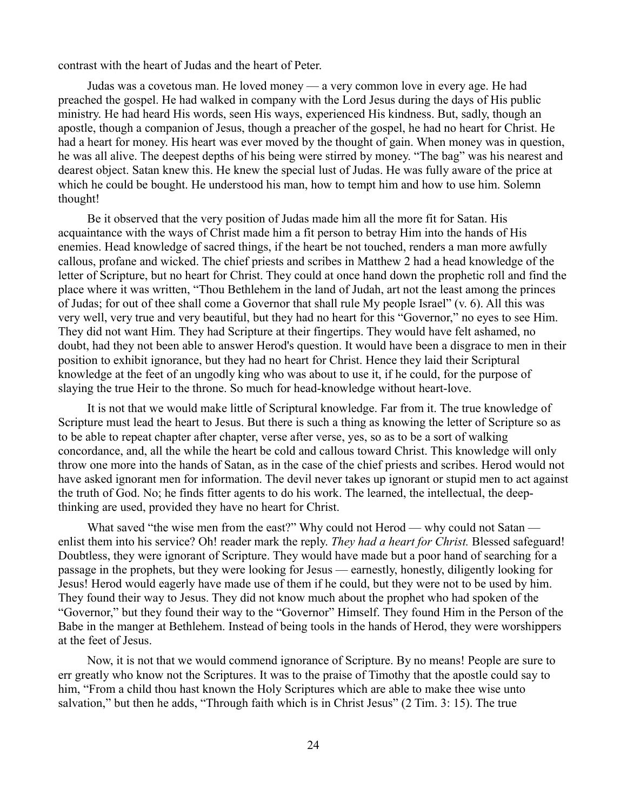contrast with the heart of Judas and the heart of Peter.

Judas was a covetous man. He loved money — a very common love in every age. He had preached the gospel. He had walked in company with the Lord Jesus during the days of His public ministry. He had heard His words, seen His ways, experienced His kindness. But, sadly, though an apostle, though a companion of Jesus, though a preacher of the gospel, he had no heart for Christ. He had a heart for money. His heart was ever moved by the thought of gain. When money was in question, he was all alive. The deepest depths of his being were stirred by money. "The bag" was his nearest and dearest object. Satan knew this. He knew the special lust of Judas. He was fully aware of the price at which he could be bought. He understood his man, how to tempt him and how to use him. Solemn thought!

Be it observed that the very position of Judas made him all the more fit for Satan. His acquaintance with the ways of Christ made him a fit person to betray Him into the hands of His enemies. Head knowledge of sacred things, if the heart be not touched, renders a man more awfully callous, profane and wicked. The chief priests and scribes in Matthew 2 had a head knowledge of the letter of Scripture, but no heart for Christ. They could at once hand down the prophetic roll and find the place where it was written, "Thou Bethlehem in the land of Judah, art not the least among the princes of Judas; for out of thee shall come a Governor that shall rule My people Israel" (v. 6). All this was very well, very true and very beautiful, but they had no heart for this "Governor," no eyes to see Him. They did not want Him. They had Scripture at their fingertips. They would have felt ashamed, no doubt, had they not been able to answer Herod's question. It would have been a disgrace to men in their position to exhibit ignorance, but they had no heart for Christ. Hence they laid their Scriptural knowledge at the feet of an ungodly king who was about to use it, if he could, for the purpose of slaying the true Heir to the throne. So much for head-knowledge without heart-love.

It is not that we would make little of Scriptural knowledge. Far from it. The true knowledge of Scripture must lead the heart to Jesus. But there is such a thing as knowing the letter of Scripture so as to be able to repeat chapter after chapter, verse after verse, yes, so as to be a sort of walking concordance, and, all the while the heart be cold and callous toward Christ. This knowledge will only throw one more into the hands of Satan, as in the case of the chief priests and scribes. Herod would not have asked ignorant men for information. The devil never takes up ignorant or stupid men to act against the truth of God. No; he finds fitter agents to do his work. The learned, the intellectual, the deepthinking are used, provided they have no heart for Christ.

What saved "the wise men from the east?" Why could not Herod — why could not Satan enlist them into his service? Oh! reader mark the reply. *They had a heart for Christ.* Blessed safeguard! Doubtless, they were ignorant of Scripture. They would have made but a poor hand of searching for a passage in the prophets, but they were looking for Jesus — earnestly, honestly, diligently looking for Jesus! Herod would eagerly have made use of them if he could, but they were not to be used by him. They found their way to Jesus. They did not know much about the prophet who had spoken of the "Governor," but they found their way to the "Governor" Himself. They found Him in the Person of the Babe in the manger at Bethlehem. Instead of being tools in the hands of Herod, they were worshippers at the feet of Jesus.

Now, it is not that we would commend ignorance of Scripture. By no means! People are sure to err greatly who know not the Scriptures. It was to the praise of Timothy that the apostle could say to him, "From a child thou hast known the Holy Scriptures which are able to make thee wise unto salvation," but then he adds, "Through faith which is in Christ Jesus" (2 Tim. 3: 15). The true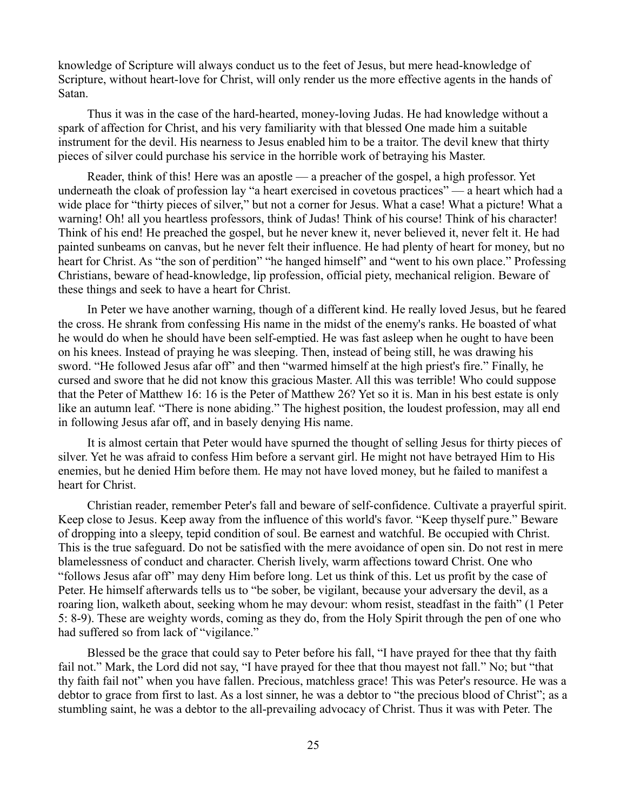knowledge of Scripture will always conduct us to the feet of Jesus, but mere head-knowledge of Scripture, without heart-love for Christ, will only render us the more effective agents in the hands of Satan.

Thus it was in the case of the hard-hearted, money-loving Judas. He had knowledge without a spark of affection for Christ, and his very familiarity with that blessed One made him a suitable instrument for the devil. His nearness to Jesus enabled him to be a traitor. The devil knew that thirty pieces of silver could purchase his service in the horrible work of betraying his Master.

Reader, think of this! Here was an apostle — a preacher of the gospel, a high professor. Yet underneath the cloak of profession lay "a heart exercised in covetous practices" — a heart which had a wide place for "thirty pieces of silver," but not a corner for Jesus. What a case! What a picture! What a warning! Oh! all you heartless professors, think of Judas! Think of his course! Think of his character! Think of his end! He preached the gospel, but he never knew it, never believed it, never felt it. He had painted sunbeams on canvas, but he never felt their influence. He had plenty of heart for money, but no heart for Christ. As "the son of perdition" "he hanged himself" and "went to his own place." Professing Christians, beware of head-knowledge, lip profession, official piety, mechanical religion. Beware of these things and seek to have a heart for Christ.

In Peter we have another warning, though of a different kind. He really loved Jesus, but he feared the cross. He shrank from confessing His name in the midst of the enemy's ranks. He boasted of what he would do when he should have been self-emptied. He was fast asleep when he ought to have been on his knees. Instead of praying he was sleeping. Then, instead of being still, he was drawing his sword. "He followed Jesus afar off" and then "warmed himself at the high priest's fire." Finally, he cursed and swore that he did not know this gracious Master. All this was terrible! Who could suppose that the Peter of Matthew 16: 16 is the Peter of Matthew 26? Yet so it is. Man in his best estate is only like an autumn leaf. "There is none abiding." The highest position, the loudest profession, may all end in following Jesus afar off, and in basely denying His name.

It is almost certain that Peter would have spurned the thought of selling Jesus for thirty pieces of silver. Yet he was afraid to confess Him before a servant girl. He might not have betrayed Him to His enemies, but he denied Him before them. He may not have loved money, but he failed to manifest a heart for Christ.

Christian reader, remember Peter's fall and beware of self-confidence. Cultivate a prayerful spirit. Keep close to Jesus. Keep away from the influence of this world's favor. "Keep thyself pure." Beware of dropping into a sleepy, tepid condition of soul. Be earnest and watchful. Be occupied with Christ. This is the true safeguard. Do not be satisfied with the mere avoidance of open sin. Do not rest in mere blamelessness of conduct and character. Cherish lively, warm affections toward Christ. One who "follows Jesus afar off" may deny Him before long. Let us think of this. Let us profit by the case of Peter. He himself afterwards tells us to "be sober, be vigilant, because your adversary the devil, as a roaring lion, walketh about, seeking whom he may devour: whom resist, steadfast in the faith" (1 Peter 5: 8-9). These are weighty words, coming as they do, from the Holy Spirit through the pen of one who had suffered so from lack of "vigilance."

Blessed be the grace that could say to Peter before his fall, "I have prayed for thee that thy faith fail not." Mark, the Lord did not say, "I have prayed for thee that thou mayest not fall." No; but "that thy faith fail not" when you have fallen. Precious, matchless grace! This was Peter's resource. He was a debtor to grace from first to last. As a lost sinner, he was a debtor to "the precious blood of Christ"; as a stumbling saint, he was a debtor to the all-prevailing advocacy of Christ. Thus it was with Peter. The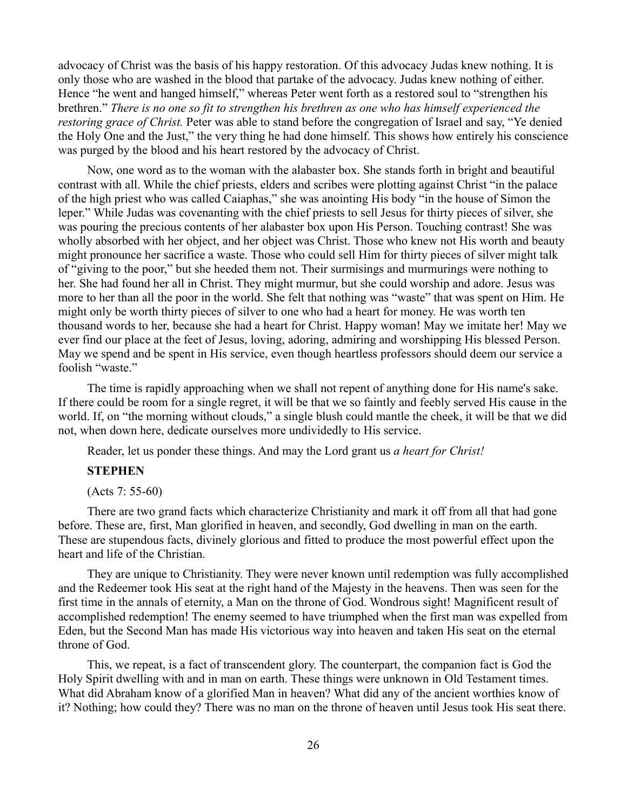advocacy of Christ was the basis of his happy restoration. Of this advocacy Judas knew nothing. It is only those who are washed in the blood that partake of the advocacy. Judas knew nothing of either. Hence "he went and hanged himself," whereas Peter went forth as a restored soul to "strengthen his brethren." *There is no one so fit to strengthen his brethren as one who has himself experienced the restoring grace of Christ.* Peter was able to stand before the congregation of Israel and say, "Ye denied the Holy One and the Just," the very thing he had done himself. This shows how entirely his conscience was purged by the blood and his heart restored by the advocacy of Christ.

Now, one word as to the woman with the alabaster box. She stands forth in bright and beautiful contrast with all. While the chief priests, elders and scribes were plotting against Christ "in the palace of the high priest who was called Caiaphas," she was anointing His body "in the house of Simon the leper." While Judas was covenanting with the chief priests to sell Jesus for thirty pieces of silver, she was pouring the precious contents of her alabaster box upon His Person. Touching contrast! She was wholly absorbed with her object, and her object was Christ. Those who knew not His worth and beauty might pronounce her sacrifice a waste. Those who could sell Him for thirty pieces of silver might talk of "giving to the poor," but she heeded them not. Their surmisings and murmurings were nothing to her. She had found her all in Christ. They might murmur, but she could worship and adore. Jesus was more to her than all the poor in the world. She felt that nothing was "waste" that was spent on Him. He might only be worth thirty pieces of silver to one who had a heart for money. He was worth ten thousand words to her, because she had a heart for Christ. Happy woman! May we imitate her! May we ever find our place at the feet of Jesus, loving, adoring, admiring and worshipping His blessed Person. May we spend and be spent in His service, even though heartless professors should deem our service a foolish "waste."

The time is rapidly approaching when we shall not repent of anything done for His name's sake. If there could be room for a single regret, it will be that we so faintly and feebly served His cause in the world. If, on "the morning without clouds," a single blush could mantle the cheek, it will be that we did not, when down here, dedicate ourselves more undividedly to His service.

Reader, let us ponder these things. And may the Lord grant us *a heart for Christ!*

#### **STEPHEN**

## (Acts 7: 55-60)

There are two grand facts which characterize Christianity and mark it off from all that had gone before. These are, first, Man glorified in heaven, and secondly, God dwelling in man on the earth. These are stupendous facts, divinely glorious and fitted to produce the most powerful effect upon the heart and life of the Christian.

They are unique to Christianity. They were never known until redemption was fully accomplished and the Redeemer took His seat at the right hand of the Majesty in the heavens. Then was seen for the first time in the annals of eternity, a Man on the throne of God. Wondrous sight! Magnificent result of accomplished redemption! The enemy seemed to have triumphed when the first man was expelled from Eden, but the Second Man has made His victorious way into heaven and taken His seat on the eternal throne of God.

This, we repeat, is a fact of transcendent glory. The counterpart, the companion fact is God the Holy Spirit dwelling with and in man on earth. These things were unknown in Old Testament times. What did Abraham know of a glorified Man in heaven? What did any of the ancient worthies know of it? Nothing; how could they? There was no man on the throne of heaven until Jesus took His seat there.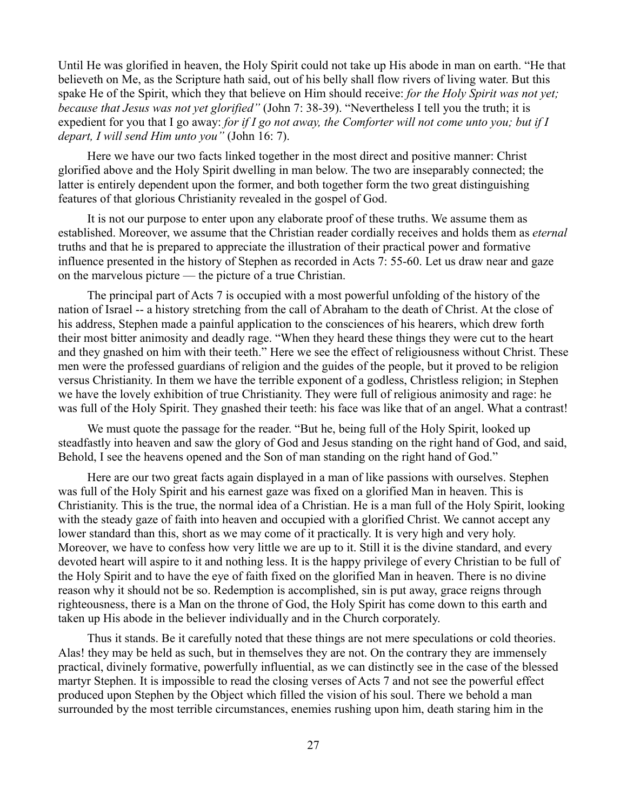Until He was glorified in heaven, the Holy Spirit could not take up His abode in man on earth. "He that believeth on Me, as the Scripture hath said, out of his belly shall flow rivers of living water. But this spake He of the Spirit, which they that believe on Him should receive: *for the Holy Spirit was not yet; because that Jesus was not yet glorified"* (John 7: 38-39). "Nevertheless I tell you the truth; it is expedient for you that I go away: *for if I go not away, the Comforter will not come unto you; but if I depart, I will send Him unto you"* (John 16: 7).

Here we have our two facts linked together in the most direct and positive manner: Christ glorified above and the Holy Spirit dwelling in man below. The two are inseparably connected; the latter is entirely dependent upon the former, and both together form the two great distinguishing features of that glorious Christianity revealed in the gospel of God.

It is not our purpose to enter upon any elaborate proof of these truths. We assume them as established. Moreover, we assume that the Christian reader cordially receives and holds them as *eternal* truths and that he is prepared to appreciate the illustration of their practical power and formative influence presented in the history of Stephen as recorded in Acts 7: 55-60. Let us draw near and gaze on the marvelous picture — the picture of a true Christian.

The principal part of Acts 7 is occupied with a most powerful unfolding of the history of the nation of Israel -- a history stretching from the call of Abraham to the death of Christ. At the close of his address, Stephen made a painful application to the consciences of his hearers, which drew forth their most bitter animosity and deadly rage. "When they heard these things they were cut to the heart and they gnashed on him with their teeth." Here we see the effect of religiousness without Christ. These men were the professed guardians of religion and the guides of the people, but it proved to be religion versus Christianity. In them we have the terrible exponent of a godless, Christless religion; in Stephen we have the lovely exhibition of true Christianity. They were full of religious animosity and rage: he was full of the Holy Spirit. They gnashed their teeth: his face was like that of an angel. What a contrast!

We must quote the passage for the reader. "But he, being full of the Holy Spirit, looked up steadfastly into heaven and saw the glory of God and Jesus standing on the right hand of God, and said, Behold, I see the heavens opened and the Son of man standing on the right hand of God."

Here are our two great facts again displayed in a man of like passions with ourselves. Stephen was full of the Holy Spirit and his earnest gaze was fixed on a glorified Man in heaven. This is Christianity. This is the true, the normal idea of a Christian. He is a man full of the Holy Spirit, looking with the steady gaze of faith into heaven and occupied with a glorified Christ. We cannot accept any lower standard than this, short as we may come of it practically. It is very high and very holy. Moreover, we have to confess how very little we are up to it. Still it is the divine standard, and every devoted heart will aspire to it and nothing less. It is the happy privilege of every Christian to be full of the Holy Spirit and to have the eye of faith fixed on the glorified Man in heaven. There is no divine reason why it should not be so. Redemption is accomplished, sin is put away, grace reigns through righteousness, there is a Man on the throne of God, the Holy Spirit has come down to this earth and taken up His abode in the believer individually and in the Church corporately.

Thus it stands. Be it carefully noted that these things are not mere speculations or cold theories. Alas! they may be held as such, but in themselves they are not. On the contrary they are immensely practical, divinely formative, powerfully influential, as we can distinctly see in the case of the blessed martyr Stephen. It is impossible to read the closing verses of Acts 7 and not see the powerful effect produced upon Stephen by the Object which filled the vision of his soul. There we behold a man surrounded by the most terrible circumstances, enemies rushing upon him, death staring him in the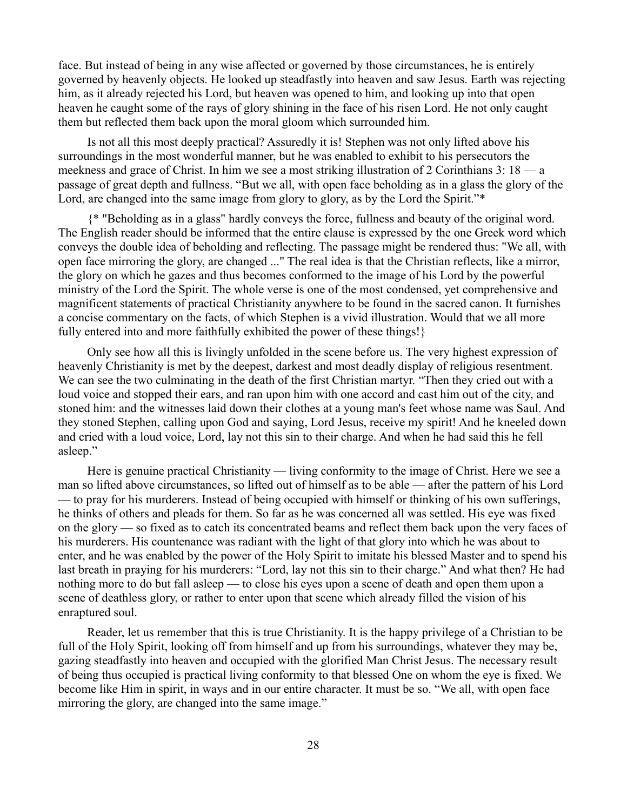face. But instead of being in any wise affected or governed by those circumstances, he is entirely governed by heavenly objects. He looked up steadfastly into heaven and saw Jesus. Earth was rejecting him, as it already rejected his Lord, but heaven was opened to him, and looking up into that open heaven he caught some of the rays of glory shining in the face of his risen Lord. He not only caught them but reflected them back upon the moral gloom which surrounded him.

Is not all this most deeply practical? Assuredly it is! Stephen was not only lifted above his surroundings in the most wonderful manner, but he was enabled to exhibit to his persecutors the meekness and grace of Christ. In him we see a most striking illustration of 2 Corinthians 3: 18 — a passage of great depth and fullness. "But we all, with open face beholding as in a glass the glory of the Lord, are changed into the same image from glory to glory, as by the Lord the Spirit."\*

{\* "Beholding as in a glass" hardly conveys the force, fullness and beauty of the original word. The English reader should be informed that the entire clause is expressed by the one Greek word which conveys the double idea of beholding and reflecting. The passage might be rendered thus: "We all, with open face mirroring the glory, are changed ..." The real idea is that the Christian reflects, like a mirror, the glory on which he gazes and thus becomes conformed to the image of his Lord by the powerful ministry of the Lord the Spirit. The whole verse is one of the most condensed, yet comprehensive and magnificent statements of practical Christianity anywhere to be found in the sacred canon. It furnishes a concise commentary on the facts, of which Stephen is a vivid illustration. Would that we all more fully entered into and more faithfully exhibited the power of these things!}

Only see how all this is livingly unfolded in the scene before us. The very highest expression of heavenly Christianity is met by the deepest, darkest and most deadly display of religious resentment. We can see the two culminating in the death of the first Christian martyr. "Then they cried out with a loud voice and stopped their ears, and ran upon him with one accord and cast him out of the city, and stoned him: and the witnesses laid down their clothes at a young man's feet whose name was Saul. And they stoned Stephen, calling upon God and saying, Lord Jesus, receive my spirit! And he kneeled down and cried with a loud voice, Lord, lay not this sin to their charge. And when he had said this he fell asleep."

Here is genuine practical Christianity — living conformity to the image of Christ. Here we see a man so lifted above circumstances, so lifted out of himself as to be able — after the pattern of his Lord — to pray for his murderers. Instead of being occupied with himself or thinking of his own sufferings, he thinks of others and pleads for them. So far as he was concerned all was settled. His eye was fixed on the glory — so fixed as to catch its concentrated beams and reflect them back upon the very faces of his murderers. His countenance was radiant with the light of that glory into which he was about to enter, and he was enabled by the power of the Holy Spirit to imitate his blessed Master and to spend his last breath in praying for his murderers: "Lord, lay not this sin to their charge." And what then? He had nothing more to do but fall asleep — to close his eyes upon a scene of death and open them upon a scene of deathless glory, or rather to enter upon that scene which already filled the vision of his enraptured soul.

Reader, let us remember that this is true Christianity. It is the happy privilege of a Christian to be full of the Holy Spirit, looking off from himself and up from his surroundings, whatever they may be, gazing steadfastly into heaven and occupied with the glorified Man Christ Jesus. The necessary result of being thus occupied is practical living conformity to that blessed One on whom the eye is fixed. We become like Him in spirit, in ways and in our entire character. It must be so. "We all, with open face mirroring the glory, are changed into the same image."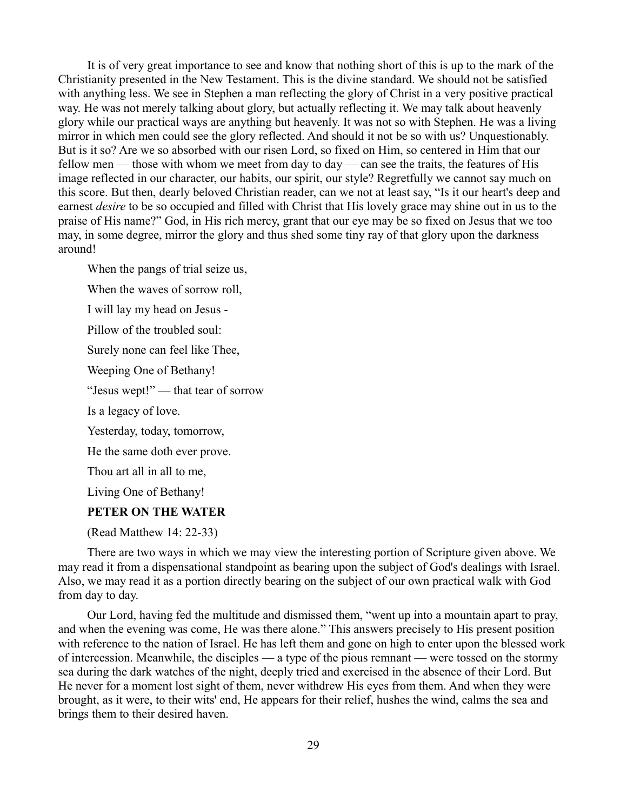It is of very great importance to see and know that nothing short of this is up to the mark of the Christianity presented in the New Testament. This is the divine standard. We should not be satisfied with anything less. We see in Stephen a man reflecting the glory of Christ in a very positive practical way. He was not merely talking about glory, but actually reflecting it. We may talk about heavenly glory while our practical ways are anything but heavenly. It was not so with Stephen. He was a living mirror in which men could see the glory reflected. And should it not be so with us? Unquestionably. But is it so? Are we so absorbed with our risen Lord, so fixed on Him, so centered in Him that our fellow men — those with whom we meet from day to day — can see the traits, the features of His image reflected in our character, our habits, our spirit, our style? Regretfully we cannot say much on this score. But then, dearly beloved Christian reader, can we not at least say, "Is it our heart's deep and earnest *desire* to be so occupied and filled with Christ that His lovely grace may shine out in us to the praise of His name?" God, in His rich mercy, grant that our eye may be so fixed on Jesus that we too may, in some degree, mirror the glory and thus shed some tiny ray of that glory upon the darkness around!

When the pangs of trial seize us,

When the waves of sorrow roll,

I will lay my head on Jesus -

Pillow of the troubled soul:

Surely none can feel like Thee,

Weeping One of Bethany!

"Jesus wept!" — that tear of sorrow

Is a legacy of love.

Yesterday, today, tomorrow,

He the same doth ever prove.

Thou art all in all to me,

Living One of Bethany!

## **PETER ON THE WATER**

(Read Matthew 14: 22-33)

There are two ways in which we may view the interesting portion of Scripture given above. We may read it from a dispensational standpoint as bearing upon the subject of God's dealings with Israel. Also, we may read it as a portion directly bearing on the subject of our own practical walk with God from day to day.

Our Lord, having fed the multitude and dismissed them, "went up into a mountain apart to pray, and when the evening was come, He was there alone." This answers precisely to His present position with reference to the nation of Israel. He has left them and gone on high to enter upon the blessed work of intercession. Meanwhile, the disciples — a type of the pious remnant — were tossed on the stormy sea during the dark watches of the night, deeply tried and exercised in the absence of their Lord. But He never for a moment lost sight of them, never withdrew His eyes from them. And when they were brought, as it were, to their wits' end, He appears for their relief, hushes the wind, calms the sea and brings them to their desired haven.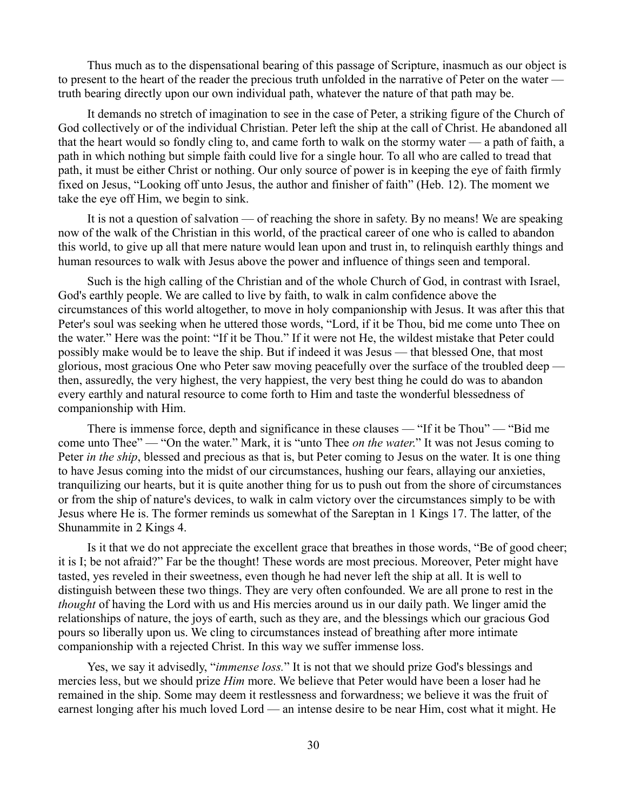Thus much as to the dispensational bearing of this passage of Scripture, inasmuch as our object is to present to the heart of the reader the precious truth unfolded in the narrative of Peter on the water truth bearing directly upon our own individual path, whatever the nature of that path may be.

It demands no stretch of imagination to see in the case of Peter, a striking figure of the Church of God collectively or of the individual Christian. Peter left the ship at the call of Christ. He abandoned all that the heart would so fondly cling to, and came forth to walk on the stormy water — a path of faith, a path in which nothing but simple faith could live for a single hour. To all who are called to tread that path, it must be either Christ or nothing. Our only source of power is in keeping the eye of faith firmly fixed on Jesus, "Looking off unto Jesus, the author and finisher of faith" (Heb. 12). The moment we take the eye off Him, we begin to sink.

It is not a question of salvation — of reaching the shore in safety. By no means! We are speaking now of the walk of the Christian in this world, of the practical career of one who is called to abandon this world, to give up all that mere nature would lean upon and trust in, to relinquish earthly things and human resources to walk with Jesus above the power and influence of things seen and temporal.

Such is the high calling of the Christian and of the whole Church of God, in contrast with Israel, God's earthly people. We are called to live by faith, to walk in calm confidence above the circumstances of this world altogether, to move in holy companionship with Jesus. It was after this that Peter's soul was seeking when he uttered those words, "Lord, if it be Thou, bid me come unto Thee on the water." Here was the point: "If it be Thou." If it were not He, the wildest mistake that Peter could possibly make would be to leave the ship. But if indeed it was Jesus — that blessed One, that most glorious, most gracious One who Peter saw moving peacefully over the surface of the troubled deep then, assuredly, the very highest, the very happiest, the very best thing he could do was to abandon every earthly and natural resource to come forth to Him and taste the wonderful blessedness of companionship with Him.

There is immense force, depth and significance in these clauses — "If it be Thou" — "Bid me come unto Thee" — "On the water." Mark, it is "unto Thee *on the water*." It was not Jesus coming to Peter *in the ship*, blessed and precious as that is, but Peter coming to Jesus on the water. It is one thing to have Jesus coming into the midst of our circumstances, hushing our fears, allaying our anxieties, tranquilizing our hearts, but it is quite another thing for us to push out from the shore of circumstances or from the ship of nature's devices, to walk in calm victory over the circumstances simply to be with Jesus where He is. The former reminds us somewhat of the Sareptan in 1 Kings 17. The latter, of the Shunammite in 2 Kings 4.

Is it that we do not appreciate the excellent grace that breathes in those words, "Be of good cheer; it is I; be not afraid?" Far be the thought! These words are most precious. Moreover, Peter might have tasted, yes reveled in their sweetness, even though he had never left the ship at all. It is well to distinguish between these two things. They are very often confounded. We are all prone to rest in the *thought* of having the Lord with us and His mercies around us in our daily path. We linger amid the relationships of nature, the joys of earth, such as they are, and the blessings which our gracious God pours so liberally upon us. We cling to circumstances instead of breathing after more intimate companionship with a rejected Christ. In this way we suffer immense loss.

Yes, we say it advisedly, "*immense loss.*" It is not that we should prize God's blessings and mercies less, but we should prize *Him* more. We believe that Peter would have been a loser had he remained in the ship. Some may deem it restlessness and forwardness; we believe it was the fruit of earnest longing after his much loved Lord — an intense desire to be near Him, cost what it might. He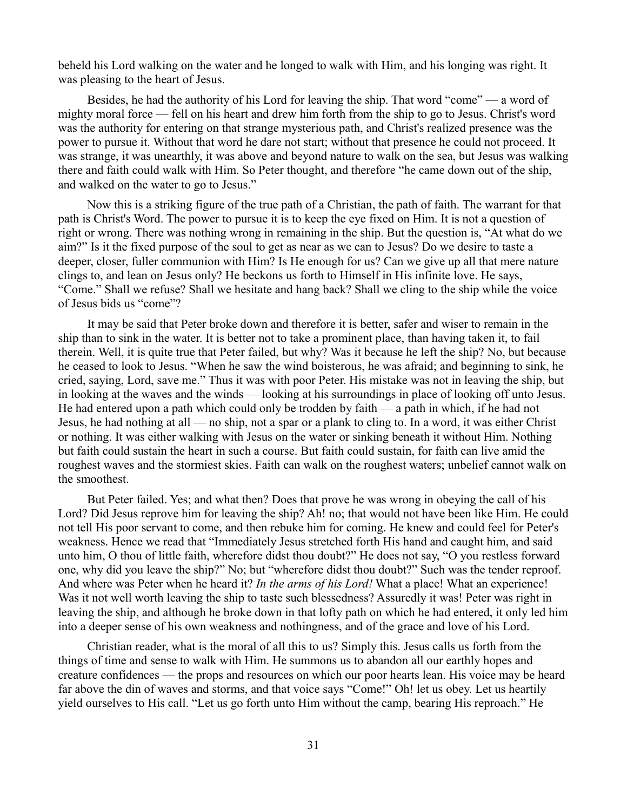beheld his Lord walking on the water and he longed to walk with Him, and his longing was right. It was pleasing to the heart of Jesus.

Besides, he had the authority of his Lord for leaving the ship. That word "come" — a word of mighty moral force — fell on his heart and drew him forth from the ship to go to Jesus. Christ's word was the authority for entering on that strange mysterious path, and Christ's realized presence was the power to pursue it. Without that word he dare not start; without that presence he could not proceed. It was strange, it was unearthly, it was above and beyond nature to walk on the sea, but Jesus was walking there and faith could walk with Him. So Peter thought, and therefore "he came down out of the ship, and walked on the water to go to Jesus."

Now this is a striking figure of the true path of a Christian, the path of faith. The warrant for that path is Christ's Word. The power to pursue it is to keep the eye fixed on Him. It is not a question of right or wrong. There was nothing wrong in remaining in the ship. But the question is, "At what do we aim?" Is it the fixed purpose of the soul to get as near as we can to Jesus? Do we desire to taste a deeper, closer, fuller communion with Him? Is He enough for us? Can we give up all that mere nature clings to, and lean on Jesus only? He beckons us forth to Himself in His infinite love. He says, "Come." Shall we refuse? Shall we hesitate and hang back? Shall we cling to the ship while the voice of Jesus bids us "come"?

It may be said that Peter broke down and therefore it is better, safer and wiser to remain in the ship than to sink in the water. It is better not to take a prominent place, than having taken it, to fail therein. Well, it is quite true that Peter failed, but why? Was it because he left the ship? No, but because he ceased to look to Jesus. "When he saw the wind boisterous, he was afraid; and beginning to sink, he cried, saying, Lord, save me." Thus it was with poor Peter. His mistake was not in leaving the ship, but in looking at the waves and the winds — looking at his surroundings in place of looking off unto Jesus. He had entered upon a path which could only be trodden by faith — a path in which, if he had not Jesus, he had nothing at all — no ship, not a spar or a plank to cling to. In a word, it was either Christ or nothing. It was either walking with Jesus on the water or sinking beneath it without Him. Nothing but faith could sustain the heart in such a course. But faith could sustain, for faith can live amid the roughest waves and the stormiest skies. Faith can walk on the roughest waters; unbelief cannot walk on the smoothest.

But Peter failed. Yes; and what then? Does that prove he was wrong in obeying the call of his Lord? Did Jesus reprove him for leaving the ship? Ah! no; that would not have been like Him. He could not tell His poor servant to come, and then rebuke him for coming. He knew and could feel for Peter's weakness. Hence we read that "Immediately Jesus stretched forth His hand and caught him, and said unto him, O thou of little faith, wherefore didst thou doubt?" He does not say, "O you restless forward one, why did you leave the ship?" No; but "wherefore didst thou doubt?" Such was the tender reproof. And where was Peter when he heard it? *In the arms of his Lord!* What a place! What an experience! Was it not well worth leaving the ship to taste such blessedness? Assuredly it was! Peter was right in leaving the ship, and although he broke down in that lofty path on which he had entered, it only led him into a deeper sense of his own weakness and nothingness, and of the grace and love of his Lord.

Christian reader, what is the moral of all this to us? Simply this. Jesus calls us forth from the things of time and sense to walk with Him. He summons us to abandon all our earthly hopes and creature confidences — the props and resources on which our poor hearts lean. His voice may be heard far above the din of waves and storms, and that voice says "Come!" Oh! let us obey. Let us heartily yield ourselves to His call. "Let us go forth unto Him without the camp, bearing His reproach." He